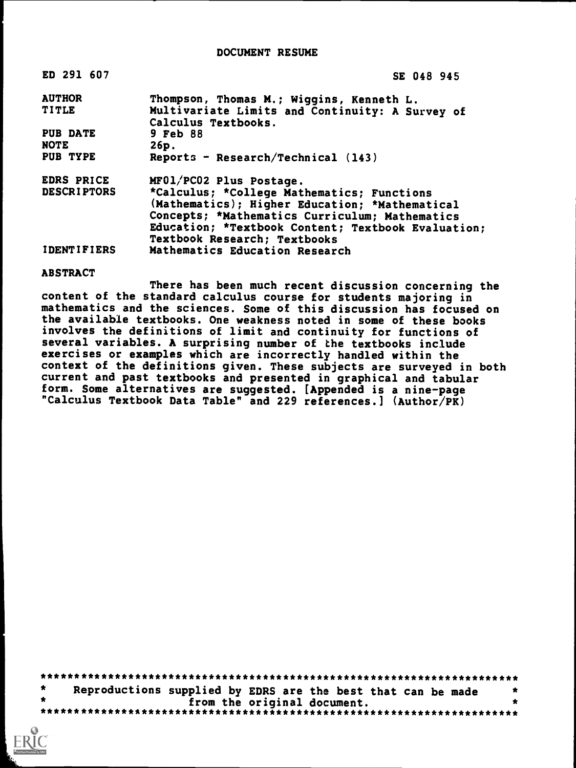# DOCUMENT RESUME

| ED 291 607         | SE 048 945                                                                                                                                     |
|--------------------|------------------------------------------------------------------------------------------------------------------------------------------------|
| <b>AUTHOR</b>      | Thompson, Thomas M.; Wiggins, Kenneth L.                                                                                                       |
| <b>TITLE</b>       | Multivariate Limits and Continuity: A Survey of                                                                                                |
|                    | Calculus Textbooks.                                                                                                                            |
| PUB DATE           | 9 Feb 88                                                                                                                                       |
| <b>NOTE</b>        | 26p.                                                                                                                                           |
| PUB TYPE           | Reports - Research/Technical $(143)$                                                                                                           |
| <b>EDRS PRICE</b>  | MF01/PC02 Plus Postage.                                                                                                                        |
| <b>DESCRIPTORS</b> | *Calculus; *College Mathematics; Functions<br>(Mathematics); Higher Education; *Mathematical<br>Concepts; *Mathematics Curriculum; Mathematics |
|                    | Education; *Textbook Content; Textbook Evaluation;                                                                                             |
|                    | <b>Textbook Research; Textbooks</b>                                                                                                            |
| <b>IDENTIFIERS</b> | Mathematics Education Research                                                                                                                 |

### **ABSTRACT**

There has been much recent discussion concerning the content of the standard calculus course for students majoring in mathematics and the sciences. Some of this discussion has focused on the available textbooks. One weakness noted in some of these books involves the definitions of limit and continuity for functions of several variables. A surprising number of the textbooks include exercises or examples which are incorrectly handled within the context of the definitions given. These subjects are surveyed in both current and past textbooks and presented in graphical and tabular form. Some alternatives are suggested. [Appended is a nine-page "Calculus Textbook Data Table" and 229 references.] (Author/PK)

| Reproductions supplied by EDRS are the best that can be made |                             |  |  |
|--------------------------------------------------------------|-----------------------------|--|--|
|                                                              | from the original document. |  |  |
|                                                              |                             |  |  |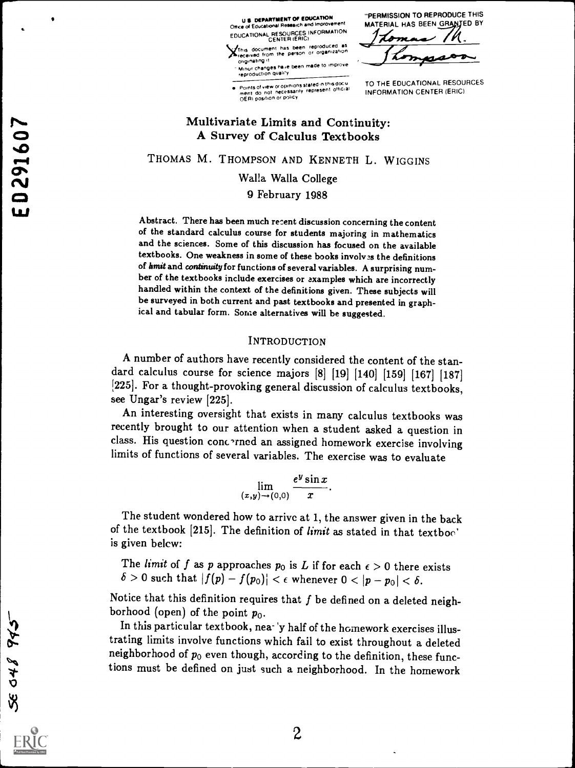<sup>U</sup> DEPARTMENT OF EDUCATION Office of Educational Research and Improven EDUCATIONAL RESOURCES INFORMATION 2

Ihis document has been reproduced received from the person or organization

originating is<br>Minur changes have been made to improve<br>reproduction quality

Points of view or opinions stated in this docu TO<br>ment ido not inecessarily represent official importance<br>OERI position or policy

"PERMISSION TO REPRODUCE THIS MATERIAL HAS BEEN GRANTED BY

TO THE EDUCATIONAL RESOURCES INFORMATION CENTER (ERIC)

# Multivariate Limits and Continuity: A Survey of Calculus Textbooks

THOMAS M. THOMPSON AND KENNETH L. WIGGINS

Walla Walla College

9 February 1988

Abstract. There has been much recent discussion concerning the content of the standard calculus course for students majoring in mathematics and the sciences. Some of this discussion has focused on the available textbooks. One weakness in some of these books involves the definitions of hmit and continuity for functions of several variables. A surprising number of the textbooks include exercises or examples which are incorrectly handled within the context of the definitions given. These subjects will be surveyed in both current and past textbooks and presented in graphical and tabular form. Some alternatives will be suggested.

# INTRODUCTION

A number of authors have recently considered the content of the standard calculus course for science majors [8] [19] [140] [159] [167] [187] [225]. For a thought-provoking general discussion of calculus textbooks, see Ungar's review [225].

An interesting oversight that exists in many calculus textbooks was recently brought to our attention when a student asked a question in class. His question cone -rned an assigned homework exercise involving limits of functions of several variables. The exercise was to evaluate

$$
\lim_{(x,y)\to(0,0)}\frac{e^y\sin x}{x}.
$$

The student wondered how to arrive at 1, the answer given in the back of the textbook [215]. The definition of *limit* as stated in that textboo' is given belcw:

The limit of f as p approaches  $p_0$  is L if for each  $\epsilon > 0$  there exists  $\delta > 0$  such that  $|f(p) - f(p_0)| < \epsilon$  whenever  $0 < |p - p_0| < \delta$ .

Notice that this definition requires that  $f$  be defined on a deleted neighborhood (open) of the point  $p_0$ .

In this particular textbook, nea- 'y half of the homework exercises illustrating limits involve functions which fail to exist throughout a deleted neighborhood of  $p_0$  even though, according to the definition, these functions must be defined on just such a neighborhood. In the homework

SE 048 943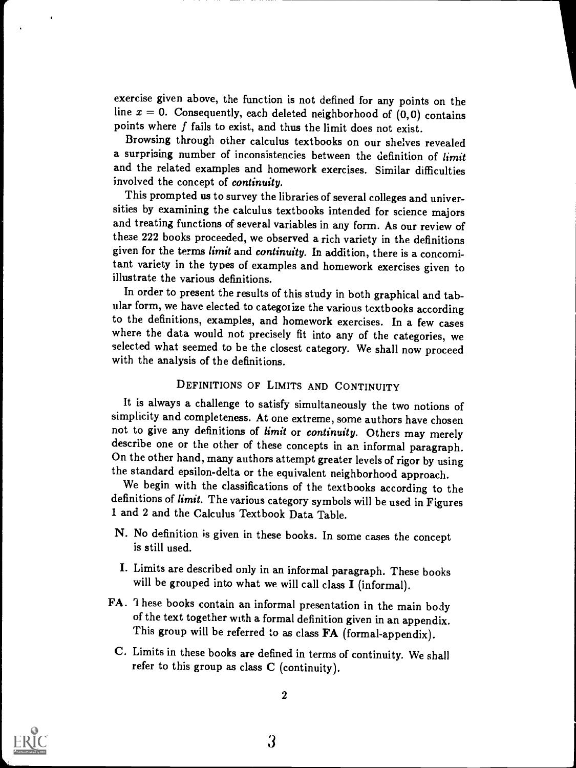exercise given above, the function is not defined for any points on the line  $x = 0$ . Consequently, each deleted neighborhood of  $(0, 0)$  contains points where  $f$  fails to exist, and thus the limit does not exist.

Browsing through other calculus textbooks on our shelves revealed a surprising number of inconsistencies between the definition of limit and the related examples and homework exercises. Similar difficulties involved the concept of continuity.

This prompted us to survey the libraries of several colleges and universities by examining the calculus textbooks intended for science majors and treating functions of several variables in any form. As our review of these 222 books proceeded, we observed a rich variety in the definitions given for the terms limit and continuity. In addition, there is a concomitant variety in the types of examples and homework exercises given to illustrate the various definitions.

In order to present the results of this study in both graphical and tabular form, we have elected to categoi ize the various textbooks according to the definitions, examples, and homework exercises. In a few cases where the data would not precisely fit into any of the categories, we selected what seemed to be the closest category. We shall now proceed with the analysis of the definitions.

# DEFINITIONS OF LIMITS AND CONTINUITY

It is always a challenge to satisfy simultaneously the two notions of simplicity and completeness. At one extreme, some authors have chosen not to give any definitions of limit or continuity. Others may merely describe one or the other of these concepts in an informal paragraph. On the other hand, many authors attempt greater levels of rigor by using the standard epsilon-delta or the equivalent neighborhood approach.

We begin with the classifications of the textbooks according to the definitions of *limit*. The various category symbols will be used in Figures 1 and 2 and the Calculus Textbook Data Table.

- N. No definition is given in these books. In some cases the concept is still used.
- I. Limits are described only in an informal paragraph. These books will be grouped into what we will call class I (informal).
- FA. These books contain an informal presentation in the main body of the text together with a formal definition given in an appendix. This group will be referred to as class FA (formal-appendix).
	- C. Limits in these books are defined in terms of continuity. We shall refer to this group as class  $C$  (continuity).

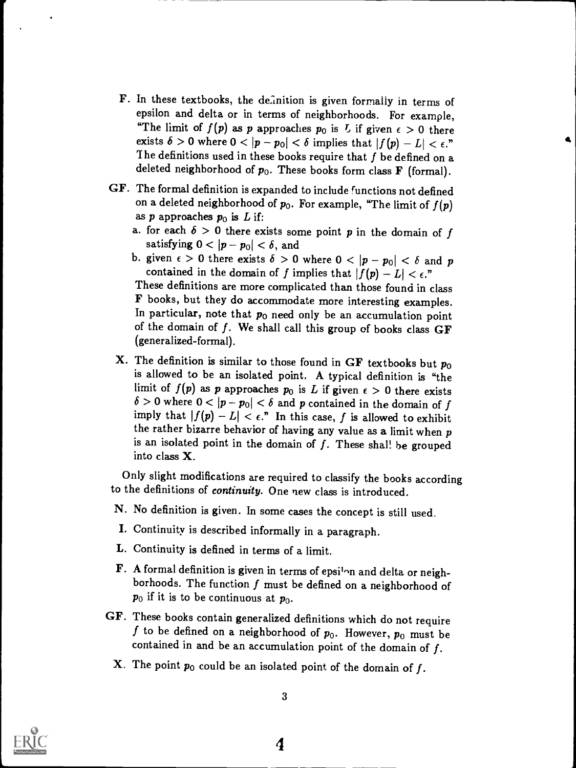- F. In these textbooks, the definition is given formally in terms of epsilon and delta or in terms of neighborhoods. For example, "The limit of  $f(p)$  as p approaches  $p_0$  is  $L$  if given  $\epsilon > 0$  there exists  $\delta > 0$  where  $0 < |p - p_0| < \delta$  implies that  $|f(p) - L| < \epsilon$ ." The definitions used in these books require that  $f$  be defined on a deleted neighborhood of  $p_0$ . These books form class **F** (formal).
- GF. The formal definition is expanded to include functions not defined on a deleted neighborhood of  $p_0$ . For example, "The limit of  $f(p)$ as  $p$  approaches  $p_0$  is  $L$  if:
	- a. for each  $\delta > 0$  there exists some point p in the domain of f satisfying  $0 < |p - p_0| < \delta$ , and
	- b. given  $\epsilon > 0$  there exists  $\delta > 0$  where  $0 < |p p_0| < \delta$  and p contained in the domain of f implies that  $|f(p) - L| < \epsilon$ ."

These definitions are more complicated than those found in class F books, but they do accommodate more interesting examples. In particular, note that  $p_0$  need only be an accumulation point of the domain of  $f$ . We shall call this group of books class  $GF$ (generalized-formal).

X. The definition is similar to those found in GF textbooks but  $p_0$ is allowed to be an isolated point. A typical definition is "the limit of  $f(p)$  as p approaches  $p_0$  is L if given  $\epsilon > 0$  there exists  $\delta > 0$  where  $0 < |p - p_0| < \delta$  and p contained in the domain of f imply that  $|f(p) - L| < \epsilon$ ." In this case, f is allowed to exhibit the rather bizarre behavior of having any value as a limit when  $p$ is an isolated point in the domain of  $f$ . These shall be grouped into class X.

Only slight modifications are required to classify the books according to the definitions of *continuity*. One new class is introduced.

- N. No definition is given. In some cases the concept is still used.
- I. Continuity is described informally in a paragraph.
- L. Continuity is defined in terms of a limit.
- F. A formal definition is given in terms of epsi<sup>1</sup>on and delta or neighborhoods. The function  $f$  must be defined on a neighborhood of  $p_0$  if it is to be continuous at  $p_0$ .
- GF. These books contain generalized definitions which do not require f to be defined on a neighborhood of  $p_0$ . However,  $p_0$  must be contained in and be an accumulation point of the domain of  $f$ .
	- **X**. The point  $p_0$  could be an isolated point of the domain of f.

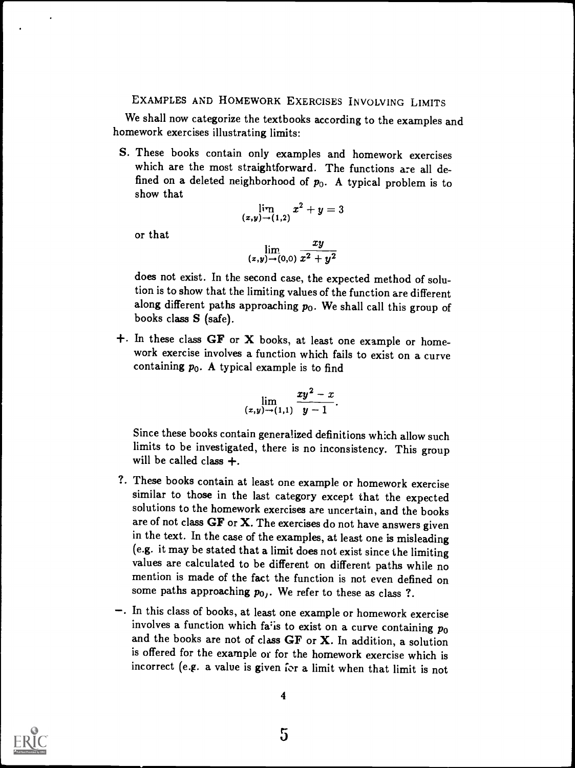# EXAMPLES AND HOMEWORK EXERCISES INVOLVING LIMITS

We shall now categorize the textbooks according to the examples and homework exercises illustrating limits:

S. These books contain only examples and homework exercises which are the most straightforward. The functions are all defined on a deleted neighborhood of  $p_0$ . A typical problem is to show that

$$
\lim_{(x,y)\to (1,2)} x^2+y=3
$$

or that

$$
\lim_{(x,y)\to(0,0)}\frac{xy}{x^2+y^2}
$$

does not exist. In the second case, the expected method of solution is to show that the limiting values of the function are different along different paths approaching  $p_0$ . We shall call this group of books class S (safe).

 $+$ . In these class GF or X books, at least one example or homework exercise involves a function which fails to exist on a curve containing  $p_0$ . A typical example is to find

$$
\lim_{(x,y)\to(1,1)}\frac{xy^2-x}{y-1}.
$$

Since these books contain generalized definitions which allow such limits to be investigated, there is no inconsistency. This group will be called class  $+$ .

- ?. These books contain at least one example or homework exercise similar to those in the last category except that the expected solutions to the homework exercises are uncertain, and the books are of not class  $GF$  or  $X$ . The exercises do not have answers given in the text. In the case of the examples, at least one is misleading (e.g. it may be stated that a limit does not exist since the limiting values are calculated to be different on different paths while no mention is made of the fact the function is not even defined on some paths approaching  $p_0$ . We refer to these as class ?.
- -. In this class of books, at least one example or homework exercise involves a function which fa<sup>t</sup> is to exist on a curve containing  $p_0$ and the books are not of class GF or X. In addition, a solution is offered for the example or for the homework exercise which is incorrect (e.g. a value is given for a limit when that limit is not

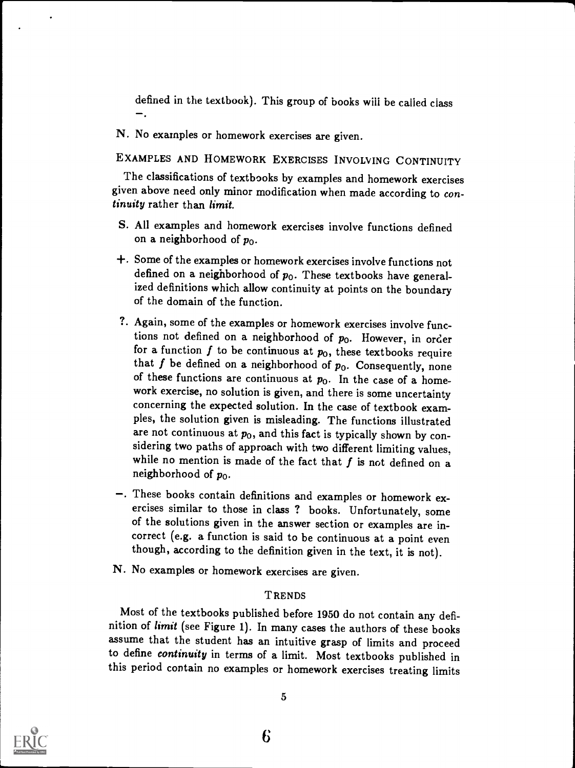defined in the textbook). This group of books will be called class  $\overline{\phantom{a}}$ .

7

N. No examples or homework exercises are given.

EXAMPLES AND HOMEWORK EXERCISES INVOLVING CONTINUITY

The classifications of textbooks by examples and homework exercises given above need only minor modification when made according to continuity rather than limit.

- S. All examples and homework exercises involve functions defined on a neighborhood of  $p_0$ .
- +. Some of the examples or homework exercises involve functions not defined on a neighborhood of  $p_0$ . These textbooks have generalized definitions which allow continuity at points on the boundary of the domain of the function.
- ?. Again, some of the examples or homework exercises involve functions not defined on a neighborhood of  $p_0$ . However, in order for a function  $f$  to be continuous at  $p_0$ , these textbooks require that f be defined on a neighborhood of  $p_0$ . Consequently, none of these functions are continuous at  $p_0$ . In the case of a homework exercise, no solution is given, and there is some uncertainty concerning the expected solution. In the case of textbook examples, the solution given is misleading. The functions illustrated are not continuous at  $p_0$ , and this fact is typically shown by considering two paths of approach with two different limiting values, while no mention is made of the fact that  $f$  is not defined on a neighborhood of  $p_0$ .
- -. These books contain definitions and examples or homework ex-<br>ercises similar to those in class ? books. Unfortunately, some of the solutions given in the answer section or examples are incorrect (e.g. a function is said to be continuous at a point even though, according to the definition given in the text, it is not).
- N. No examples or homework exercises are given.

### **TRENDS**

Most of the textbooks published before 1950 do not contain any definition of *limit* (see Figure 1). In many cases the authors of these books assume that the student has an intuitive grasp of limits and proceed to define continuity in terms of a limit. Most textbooks published in this period contain no examples or homework exercises treating limits

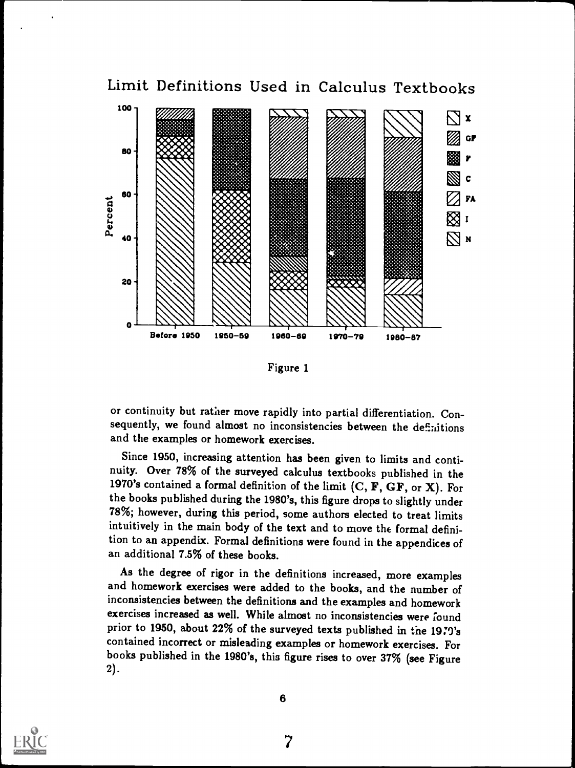

Figure 1

or continuity but rather move rapidly into partial differentiation. Consequently, we found almost no inconsistencies between the definitions and the examples or homework exercises.

Since 1950, increasing attention has been given to limits and continuity. Over 78% of the surveyed calculus textbooks published in the 1970's contained a formal definition of the limit  $(C, F, GF, or X)$ . For the books published during the 1980's, this figure drops to slightly under 78%; however, during this period, some authors elected to treat limits intuitively in the main body of the text and to move the formal definition to an appendix. Formal definitions were found in the appendices of an additional 7.5% of these books.

As the degree of rigor in the definitions increased, more examples and homework exercises were added to the books, and the number of inconsistencies between the definitions and the examples and homework exercises increased as well. While almost no inconsistencies were found prior to 1950, about 22% of the surveyed texts published in the 1970's contained incorrect or misleading examples or homework exercises. For books published in the 1980's, this figure rises to over 37% (see Figure 2).

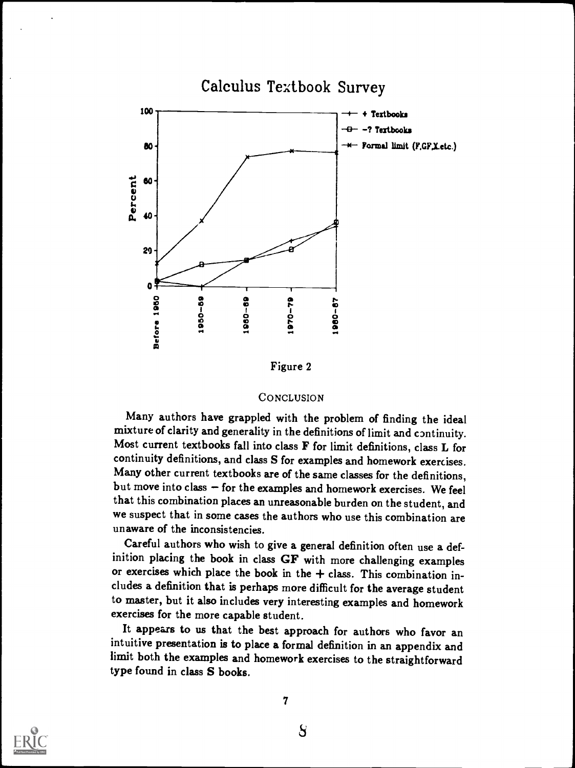

#### **CONCLUSION**

Many authors have grappled with the problem of finding the ideal mixture of clarity and generality in the definitions of limit and continuity. Most current textbooks fall into class F for limit definitions, class L for continuity definitions, and class S for examples and homework exercises. Many other current textbooks are of the same classes for the definitions, but move into class  $-$  for the examples and homework exercises. We feel that this combination places an unreasonable burden on the student, and we suspect that in some cases the authors who use this combination are unaware of the inconsistencies.

Careful authors who wish to give a general definition often use a definition placing the book in class GF with more challenging examples or exercises which place the book in the  $+$  class. This combination includes a definition that is perhaps more difficult for the average student to master, but it also includes very interesting examples and homework exercises for the more capable student.

It appears to us that the best approach for authors who favor an intuitive presentation is to place a formal definition in an appendix and limit both the examples and homework exercises to the straightforward type found in class S books.



S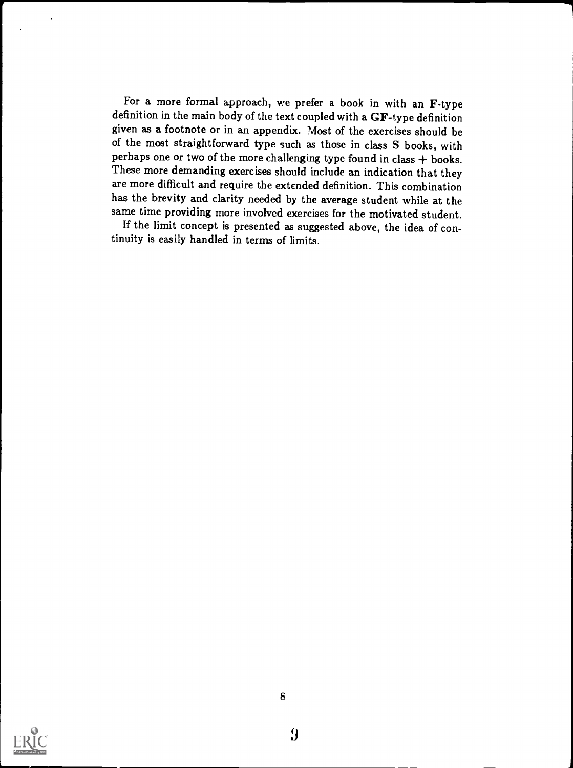For a more formal approach, we prefer a book in with an F-type definition in the main body of the text coupled with a GF-type definition given as a footnote or in an appendix. Most of the exercises should be of the most straightforward type such as those in class S books, with perhaps one or two of the more challenging type found in class  $+$  books. These more demanding exercises should include an indication that they are more difficult and require the extended definition. This combination has the brevity and clarity needed by the average student while at the same time providing more involved exercises for the motivated student.

If the limit concept is presented as suggested above, the idea of continuity is easily handled in terms of limits.

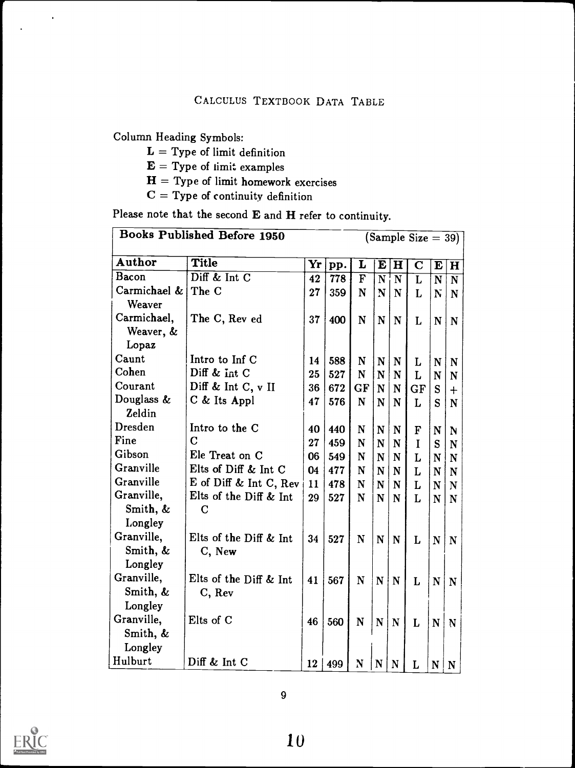Column Heading Symbols:

 $\blacksquare$ 

- $L = Type$  of limit definition
- $E = Type of limit examples$
- $H = Type of limit homework exercises$
- $C = Type$  of continuity definition

Please note that the second E and H refer to continuity.

|                | <b>Books Published Before 1950</b> | $\mathbf{H}$<br>L<br>E<br>$\mathbf C$<br>pp.<br>E<br>$\overline{\mathbf{F}}$<br>778<br>$\overline{\mathbf{N}}$<br>$\overline{\mathbf{N}}$<br>$\overline{\text{L}}$<br>$\overline{\text{N}}$<br>359<br>$\mathbf N$<br>$\bf N$<br>N<br>L<br>N<br>400<br>$\mathbf N$<br>$\mathbf N$<br>$\mathbf N$<br>L<br>$\mathbf N$<br>588<br>$\mathbf N$<br>$\mathbf N$<br>N<br>L<br>$\mathbf N$<br>527<br>$\mathbf N$<br>${\bf N}$<br>L<br>N<br>N<br>GF<br>672<br>${\bf N}$<br>${\bf N}$<br>GF<br>S<br>576<br>$\mathbf N$<br>$\mathbf N$<br>$\mathbf N$<br>L<br>S<br>440<br>N<br>N<br>$\mathbf N$<br>F<br>N<br>459<br>N<br>I<br>N<br>$\mathbf N$<br>S<br>549<br>N<br>N<br>N<br>L<br>$\mathbf N$<br>477<br>N<br>N<br>$\mathbf N$<br>L<br>N<br>N<br>478<br>N<br>N<br>N<br>L<br>N<br>N<br>N<br>527<br>L<br>$\mathbf N$<br>N<br>N<br>N<br>527<br>$\mathbf N$<br>$\mathbf N$<br>${\bf N}$<br>L<br>$\mathbf N$<br>$\mathbf N$<br>567<br>N<br>$\mathbf N$<br>${\bf N}$<br>${\bf N}$<br>L<br>N |     |             |             |             |   |             |                         |  |  |  | $(Sample Size = 39)$ |  |  |  |  |  |  |  |  |  |  |
|----------------|------------------------------------|--------------------------------------------------------------------------------------------------------------------------------------------------------------------------------------------------------------------------------------------------------------------------------------------------------------------------------------------------------------------------------------------------------------------------------------------------------------------------------------------------------------------------------------------------------------------------------------------------------------------------------------------------------------------------------------------------------------------------------------------------------------------------------------------------------------------------------------------------------------------------------------------------------------------------------------------------------------------------|-----|-------------|-------------|-------------|---|-------------|-------------------------|--|--|--|----------------------|--|--|--|--|--|--|--|--|--|--|
| Author         | Title                              | Yr                                                                                                                                                                                                                                                                                                                                                                                                                                                                                                                                                                                                                                                                                                                                                                                                                                                                                                                                                                       |     |             |             |             |   |             | $\mathbf H$             |  |  |  |                      |  |  |  |  |  |  |  |  |  |  |
| Bacon          | Diff $\&$ Int $\overline{C}$       | 42                                                                                                                                                                                                                                                                                                                                                                                                                                                                                                                                                                                                                                                                                                                                                                                                                                                                                                                                                                       |     |             |             |             |   |             | $\overline{\mathbf{N}}$ |  |  |  |                      |  |  |  |  |  |  |  |  |  |  |
| Carmichael &   | The C                              | 27                                                                                                                                                                                                                                                                                                                                                                                                                                                                                                                                                                                                                                                                                                                                                                                                                                                                                                                                                                       |     |             |             |             |   |             | $\mathbf N$             |  |  |  |                      |  |  |  |  |  |  |  |  |  |  |
| Weaver         |                                    |                                                                                                                                                                                                                                                                                                                                                                                                                                                                                                                                                                                                                                                                                                                                                                                                                                                                                                                                                                          |     |             |             |             |   |             |                         |  |  |  |                      |  |  |  |  |  |  |  |  |  |  |
| Carmichael,    | The C, Rev ed                      | 37                                                                                                                                                                                                                                                                                                                                                                                                                                                                                                                                                                                                                                                                                                                                                                                                                                                                                                                                                                       |     |             |             |             |   |             | $\mathbf N$             |  |  |  |                      |  |  |  |  |  |  |  |  |  |  |
| Weaver, &      |                                    |                                                                                                                                                                                                                                                                                                                                                                                                                                                                                                                                                                                                                                                                                                                                                                                                                                                                                                                                                                          |     |             |             |             |   |             |                         |  |  |  |                      |  |  |  |  |  |  |  |  |  |  |
| Lopaz          |                                    |                                                                                                                                                                                                                                                                                                                                                                                                                                                                                                                                                                                                                                                                                                                                                                                                                                                                                                                                                                          |     |             |             |             |   |             |                         |  |  |  |                      |  |  |  |  |  |  |  |  |  |  |
| Caunt          | Intro to Inf C                     | 14                                                                                                                                                                                                                                                                                                                                                                                                                                                                                                                                                                                                                                                                                                                                                                                                                                                                                                                                                                       |     |             |             |             |   |             | N                       |  |  |  |                      |  |  |  |  |  |  |  |  |  |  |
| Cohen          | Diff & Int C                       | 25                                                                                                                                                                                                                                                                                                                                                                                                                                                                                                                                                                                                                                                                                                                                                                                                                                                                                                                                                                       |     |             |             |             |   |             | N                       |  |  |  |                      |  |  |  |  |  |  |  |  |  |  |
| Courant        | Diff & Int C, $v$ II               | 36                                                                                                                                                                                                                                                                                                                                                                                                                                                                                                                                                                                                                                                                                                                                                                                                                                                                                                                                                                       |     |             |             |             |   |             | $+$                     |  |  |  |                      |  |  |  |  |  |  |  |  |  |  |
| Douglass &     | C & Its Appl                       | 47                                                                                                                                                                                                                                                                                                                                                                                                                                                                                                                                                                                                                                                                                                                                                                                                                                                                                                                                                                       |     |             |             |             |   |             | N                       |  |  |  |                      |  |  |  |  |  |  |  |  |  |  |
| Zeldin         |                                    |                                                                                                                                                                                                                                                                                                                                                                                                                                                                                                                                                                                                                                                                                                                                                                                                                                                                                                                                                                          |     |             |             |             |   |             |                         |  |  |  |                      |  |  |  |  |  |  |  |  |  |  |
| <b>Dresden</b> | Intro to the C                     | 40                                                                                                                                                                                                                                                                                                                                                                                                                                                                                                                                                                                                                                                                                                                                                                                                                                                                                                                                                                       |     |             |             |             |   |             | N                       |  |  |  |                      |  |  |  |  |  |  |  |  |  |  |
| Fine           | $\overline{C}$                     | 27                                                                                                                                                                                                                                                                                                                                                                                                                                                                                                                                                                                                                                                                                                                                                                                                                                                                                                                                                                       |     |             |             |             |   |             | N                       |  |  |  |                      |  |  |  |  |  |  |  |  |  |  |
| Gibson         | Ele Treat on C                     | 06                                                                                                                                                                                                                                                                                                                                                                                                                                                                                                                                                                                                                                                                                                                                                                                                                                                                                                                                                                       |     |             |             |             |   |             | N                       |  |  |  |                      |  |  |  |  |  |  |  |  |  |  |
| Granville      | Elts of Diff & Int C               | 04                                                                                                                                                                                                                                                                                                                                                                                                                                                                                                                                                                                                                                                                                                                                                                                                                                                                                                                                                                       |     |             |             |             |   |             |                         |  |  |  |                      |  |  |  |  |  |  |  |  |  |  |
| Granville      | E of Diff & Int C, Rev             | 11                                                                                                                                                                                                                                                                                                                                                                                                                                                                                                                                                                                                                                                                                                                                                                                                                                                                                                                                                                       |     |             |             |             |   |             |                         |  |  |  |                      |  |  |  |  |  |  |  |  |  |  |
| Granville,     | Elts of the Diff & Int             | 29                                                                                                                                                                                                                                                                                                                                                                                                                                                                                                                                                                                                                                                                                                                                                                                                                                                                                                                                                                       |     |             |             |             |   |             |                         |  |  |  |                      |  |  |  |  |  |  |  |  |  |  |
| Smith, &       | $\mathbf C$                        |                                                                                                                                                                                                                                                                                                                                                                                                                                                                                                                                                                                                                                                                                                                                                                                                                                                                                                                                                                          |     |             |             |             |   |             |                         |  |  |  |                      |  |  |  |  |  |  |  |  |  |  |
| Longley        |                                    |                                                                                                                                                                                                                                                                                                                                                                                                                                                                                                                                                                                                                                                                                                                                                                                                                                                                                                                                                                          |     |             |             |             |   |             |                         |  |  |  |                      |  |  |  |  |  |  |  |  |  |  |
| Granville,     | Elts of the Diff & Int             | 34                                                                                                                                                                                                                                                                                                                                                                                                                                                                                                                                                                                                                                                                                                                                                                                                                                                                                                                                                                       |     |             |             |             |   |             |                         |  |  |  |                      |  |  |  |  |  |  |  |  |  |  |
| Smith, &       | C, New                             |                                                                                                                                                                                                                                                                                                                                                                                                                                                                                                                                                                                                                                                                                                                                                                                                                                                                                                                                                                          |     |             |             |             |   |             |                         |  |  |  |                      |  |  |  |  |  |  |  |  |  |  |
| Longley        |                                    |                                                                                                                                                                                                                                                                                                                                                                                                                                                                                                                                                                                                                                                                                                                                                                                                                                                                                                                                                                          |     |             |             |             |   |             |                         |  |  |  |                      |  |  |  |  |  |  |  |  |  |  |
| Granville,     | Elts of the Diff & Int             | 41                                                                                                                                                                                                                                                                                                                                                                                                                                                                                                                                                                                                                                                                                                                                                                                                                                                                                                                                                                       |     |             |             |             |   |             |                         |  |  |  |                      |  |  |  |  |  |  |  |  |  |  |
| Smith, &       | C, Rev                             |                                                                                                                                                                                                                                                                                                                                                                                                                                                                                                                                                                                                                                                                                                                                                                                                                                                                                                                                                                          |     |             |             |             |   |             |                         |  |  |  |                      |  |  |  |  |  |  |  |  |  |  |
| Longley        |                                    |                                                                                                                                                                                                                                                                                                                                                                                                                                                                                                                                                                                                                                                                                                                                                                                                                                                                                                                                                                          |     |             |             |             |   |             |                         |  |  |  |                      |  |  |  |  |  |  |  |  |  |  |
| Granville,     | Elts of C                          | 46                                                                                                                                                                                                                                                                                                                                                                                                                                                                                                                                                                                                                                                                                                                                                                                                                                                                                                                                                                       | 560 | $\mathbf N$ | $\mathbf N$ | N           | L | $\mathbf N$ | N                       |  |  |  |                      |  |  |  |  |  |  |  |  |  |  |
| Smith, &       |                                    |                                                                                                                                                                                                                                                                                                                                                                                                                                                                                                                                                                                                                                                                                                                                                                                                                                                                                                                                                                          |     |             |             |             |   |             |                         |  |  |  |                      |  |  |  |  |  |  |  |  |  |  |
| Longley        |                                    |                                                                                                                                                                                                                                                                                                                                                                                                                                                                                                                                                                                                                                                                                                                                                                                                                                                                                                                                                                          |     |             |             |             |   |             |                         |  |  |  |                      |  |  |  |  |  |  |  |  |  |  |
| Hulburt        | Diff & Int C                       | 12                                                                                                                                                                                                                                                                                                                                                                                                                                                                                                                                                                                                                                                                                                                                                                                                                                                                                                                                                                       | 499 | N           | $\mathbf N$ | $\mathbf N$ | L | $\mathbf N$ | $\mathbf N$             |  |  |  |                      |  |  |  |  |  |  |  |  |  |  |

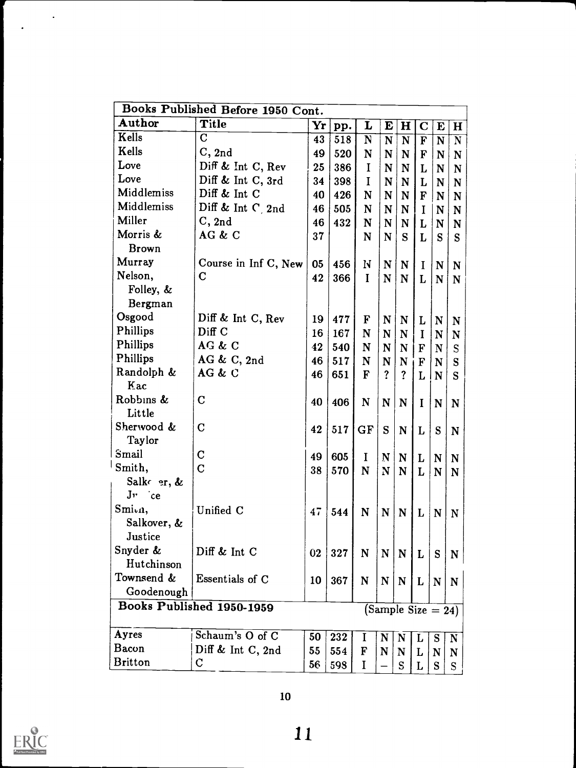|                   | Books Published Before 1950 Cont. |    |     |              |                |                       |                         |                         |                       |
|-------------------|-----------------------------------|----|-----|--------------|----------------|-----------------------|-------------------------|-------------------------|-----------------------|
| Author            | Title                             | Yr | pp. | L            | E              | $\mathbf H$           | $\mathbf C$             | E                       | $\mathbf H$           |
| Kells             | $\mathbf C$                       | 43 | 518 | ${\bf N}$    | ${\bf N}$      | ${\bf N}$             | $\overline{\mathbf{F}}$ | $\overline{\mathbf{N}}$ | $\overline{\text{N}}$ |
| Kells             | C, 2nd                            | 49 | 520 | N            | N              | N                     | F                       | N                       | N                     |
| Love              | Diff & Int C, Rev                 | 25 | 386 | $\mathbf I$  | N              | N                     | $\mathbf{L}$            | N                       | ${\bf N}$             |
| Love              | Diff & Int C, 3rd                 | 34 | 398 | $\mathbf I$  | N              | N                     | L                       | N                       | N                     |
| Middlemiss        | Diff & Int C                      | 40 | 426 | N            | N              | N                     | $\mathbf F$             | N                       | N                     |
| Middlemiss        | Diff & Int $C_2$ nd               | 46 | 505 | N            | N              | N                     | I                       | N                       | N                     |
| Miller            | C, 2nd                            | 46 | 432 | N            | N              | N                     | L                       | N                       | N                     |
| Morris &          | AG & C                            | 37 |     | N            | N              | S                     | L                       | S                       | S                     |
| <b>Brown</b>      |                                   |    |     |              |                |                       |                         |                         |                       |
| Murray            | Course in Inf C, New              | 05 | 456 | N            | $\mathbf N$    | N                     | $\bf{I}$                | $\mathbf N$             | N                     |
| Nelson,           | $\mathbf C$                       | 42 | 366 | I            | N              | N                     | $\mathbf{L}$            | N                       | N                     |
| Folley, &         |                                   |    |     |              |                |                       |                         |                         |                       |
| Bergman           |                                   |    |     |              |                |                       |                         |                         |                       |
| Osgood            | Diff & Int C, Rev                 | 19 | 477 | $\mathbf F$  | N              | N                     | L                       | N                       | N                     |
| Phillips          | Diff C                            | 16 | 167 | N            | N              | N                     | $\mathbf I$             | N                       | N                     |
| Phillips          | AG & C                            | 42 | 540 | N            | N              | N                     | F                       | $\mathbf N$             | S                     |
| Phillips          | AG & C, $2nd$                     | 46 | 517 | N            | N              | $\mathbf N$           | F                       | N                       | S                     |
| Randolph &        | AG & C                            | 46 | 651 | $\mathbf{F}$ | $\overline{?}$ | $\overline{?}$        | L                       | N                       | S                     |
| Kac               |                                   |    |     |              |                |                       |                         |                         |                       |
| Robbins &         | $\mathbf C$                       | 40 | 406 | $\mathbf N$  | N              | N                     | $\mathbf I$             | $\mathbf N$             | N                     |
| Little            |                                   |    |     |              |                |                       |                         |                         |                       |
| Sherwood &        | $\mathbf C$                       | 42 | 517 | GF           | S              | N                     | L                       | ${\bf S}$               | N                     |
| Taylor            |                                   |    |     |              |                |                       |                         |                         |                       |
| Smail             | $\mathbf C$                       | 49 | 605 | $\bf{I}$     | N              | N                     | L                       | ${\bf N}$               | N                     |
| Smith,            | $\overline{C}$                    | 38 | 570 | N            | N              | N                     | L                       | ${\bf N}$               | N                     |
| Salke er, &       |                                   |    |     |              |                |                       |                         |                         |                       |
| $Jv$ ce           |                                   |    |     |              |                |                       |                         |                         |                       |
| Smi <sub>vn</sub> | Unified C                         | 47 | 544 | N            | $\mathbf N$    | N                     | L                       | $\mathbf N$             | N                     |
| Salkover, &       |                                   |    |     |              |                |                       |                         |                         |                       |
| Justice           |                                   |    |     |              |                |                       |                         |                         |                       |
| Snyder &          | Diff & Int C                      | 02 | 327 | N            | N              | $\mathbf N$           | L                       | ${\bf S}$               | N                     |
| Hutchinson        |                                   |    |     |              |                |                       |                         |                         |                       |
| Townsend &        | Essentials of C                   | 10 | 367 | N            | N              | $\mathbf N$           | $\mathbf{L}$            | ${\bf N}$               | N                     |
| Goodenough        |                                   |    |     |              |                |                       |                         |                         |                       |
|                   | Books Published 1950-1959         |    |     |              |                | (Sample Size $= 24$ ) |                         |                         |                       |
|                   |                                   |    |     |              |                |                       |                         |                         |                       |
| Ayres             | Schaum's O of C                   | 50 | 232 | 1            | N              | N                     | L                       | S                       | N                     |
| Bacon             | Diff & Int C, 2nd                 | 55 | 554 | F            | N              | N                     | L                       | N                       | N                     |
| <b>Britton</b>    | $\mathbf C$                       | 56 | 598 | I            |                | S                     | L                       | S                       | S                     |
|                   |                                   |    |     |              |                |                       |                         |                         |                       |



 $\sim$   $\sim$ 

 $\cdot$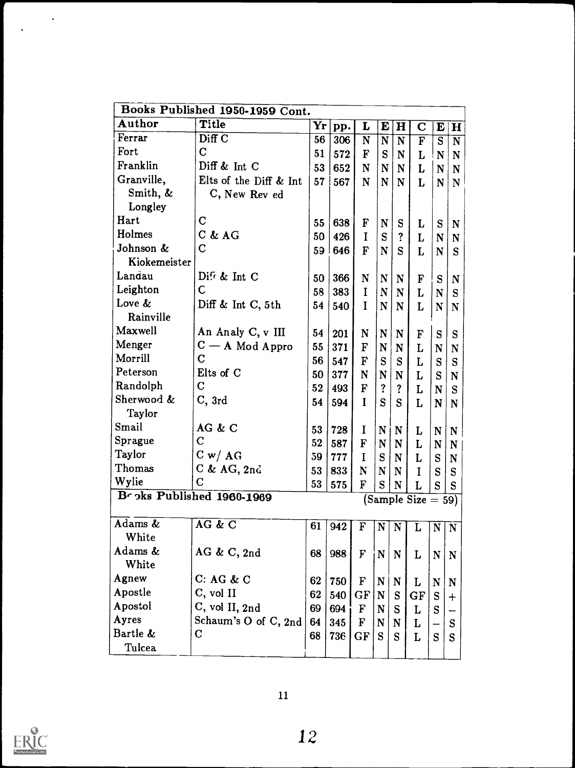|              | Books Published 1950-1959 Cont. |                 |          |              |                         |             |                         |                |                         |
|--------------|---------------------------------|-----------------|----------|--------------|-------------------------|-------------|-------------------------|----------------|-------------------------|
| Author       | Title                           | Yr              | pp.      | L            | E                       | H           | $\bf C$                 | E              | $\vert H \vert$         |
| Ferrar       | Diff C                          | 56              | 306      | N            | $\overline{\mathbf{N}}$ | N           | $\overline{\mathbf{F}}$ | $\overline{s}$ | $\overline{\mathbf{N}}$ |
| Fort         | $\mathbf C$                     | 51              | 572      | $\mathbf F$  | S                       | N           | L                       | N              | $\mathbf N$             |
| Franklin     | Diff & Int C                    | 53              | 652      | $\mathbf N$  | $\mathbf N$             | N           | L                       | $\mathbf N$    | N                       |
| Granville,   | Elts of the Diff & Int          | 57              | 567      | N            | ${\bf N}$               | N           | L                       | $\mathbf N$    | $\mathbf N$             |
| Smith, &     | C, New Rev ed                   |                 |          |              |                         |             |                         |                |                         |
| Longley      |                                 |                 |          |              |                         |             |                         |                |                         |
| Hart         | $\mathbf C$                     | 55              | 638      | $\mathbf F$  | $\mathbf N$             | S           | L                       | S              | $\mathbf N$             |
| Holmes       | $C$ & $AG$                      | 50              | 426      |              | ${\bf S}$               | ?           | L                       | N              | N                       |
| Johnson &    | $\mathbf C$                     | 59 <sup>1</sup> | 646      | $\mathbf{F}$ | ${\bf N}$               | S           | L                       | $\mathbf N$    | S                       |
| Kiokemeister |                                 |                 |          |              |                         |             |                         |                |                         |
| Landau       | Diff & Int C                    | 50              | 366      | N            | N                       | ${\bf N}$   | F                       | S              | $\mathbf N$             |
| Leighton     | $\mathbf C$                     | 58              | 383      | T            | $\mathbf N$             | N           | L                       | N              | S                       |
| Love &       | Diff & Int C, 5th               | 54              | 540      | $\bf{I}$     | ${\bf N}$               | N           | L                       | N              | N                       |
| Rainville    |                                 |                 |          |              |                         |             |                         |                |                         |
| Maxwell      | An Analy C, v III               | 54              | 201      | N            | N                       | N           | $\mathbf F$             | S              | S                       |
| Menger       | $C - A$ Mod Appro               | 55              | 371      | $\mathbf F$  | N                       | N           | L                       | N              | N                       |
| Morrill      | $\mathbf C$                     | 56              | 547      | F            | S                       | S           | L                       | S              | S                       |
| Peterson     | Elts of C                       | 50              | 377      | N            | N                       | N           | L                       | S              | N                       |
| Randolph     | $\mathbf C$                     | 52              | 493      | $\mathbf{F}$ | ?                       | ?           | L                       | ${\bf N}$      | S                       |
| Sherwood &   | C, 3rd                          | 54              | 594      | I            | S                       | S           | L                       | N              | N                       |
| Taylor       |                                 |                 |          |              |                         |             |                         |                |                         |
| Smail        | AG & C                          | 53              | 728      | $\bf{I}$     | N                       | $\mathbf N$ | L                       | N              | N                       |
| Sprague      | $\overline{\rm C}$              | 52              | 587      | $\mathbf F$  | $\mathbf N$             | N           | L                       | N              | N                       |
| Taylor       | C w / AG                        | 59              | 777      | I            | S                       | N           | L                       | S              | $\mathbf N$             |
| Thomas       | $C$ & AG, 2nd                   | 53              | 833      | N            | N                       | N           | I                       | S              | S                       |
| Wylie        | $\mathbf C$                     | 53              | 575      | F            | S                       | $\mathbf N$ | L                       | S              | S                       |
|              | Broks Published 1960-1969       |                 |          |              |                         |             | $(Sample Size = 59)$    |                |                         |
|              |                                 |                 |          |              |                         |             |                         |                |                         |
| Adams &      | AG & C                          |                 | 61   942 | $\mathbf F$  | $\mathbf N$             | $\mathbf N$ | $\mathbf{L}$            | $\mathbf{N}$   | $\mathbf N$             |
| White        |                                 |                 |          |              |                         |             |                         |                |                         |
| Adams &      | AG & C, $2nd$                   | 68              | 988      | $\mathbf{F}$ | $\mathbf N$             | $\mathbf N$ | L                       | ${\bf N}$      | $\mathbf N$             |
| White        |                                 |                 |          |              |                         |             |                         |                |                         |
| Agnew        | C: AG & C                       | 62              | 750      | $\mathbf F$  | $\mathbf N$             | N           | L                       | N              | $\mathbf N$             |
| Apostle      | C, vol II                       | 62              | 540      | GF           | $\mathbf N$             | S           | GF                      | S              | $\ddagger$              |
| Apostol      | C, vol II, 2nd                  | 69              | 694      | $\mathbf F$  | $\mathbf N$             | S           | L                       | S              |                         |
| Ayres        | Schaum's O of C, 2nd            | 64              | 345      | $\mathbf F$  | $\mathbf N$             | N           | L                       |                | S                       |
| Bartle &     | $\mathbf C$                     | 68              | 736      | GF           | S                       | S           | L                       | S              | S                       |
| Tulcea       |                                 |                 |          |              |                         |             |                         |                |                         |



 $\ddot{\phantom{0}}$ 

 $\ddot{\phantom{a}}$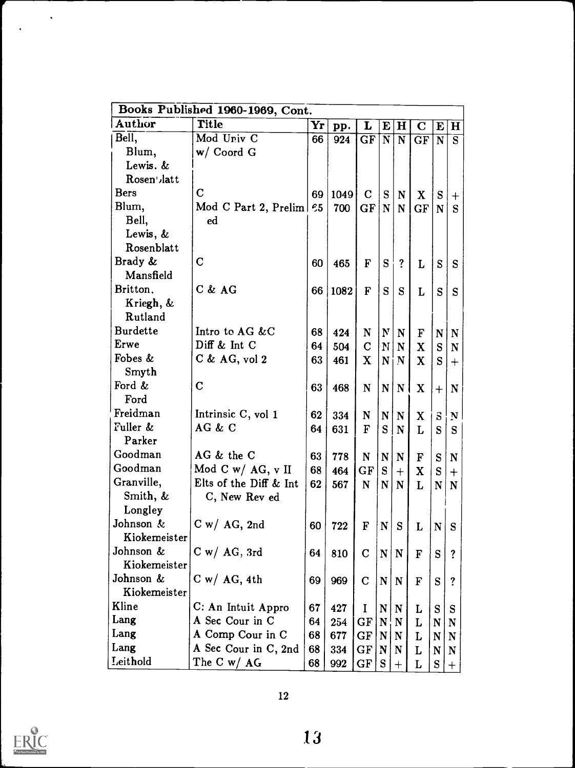| Books Published 1960-1969, Cont. |                         |    |      |              |              |                         |             |                         |                         |  |  |
|----------------------------------|-------------------------|----|------|--------------|--------------|-------------------------|-------------|-------------------------|-------------------------|--|--|
| Author                           | <b>Title</b>            | Yr | pp.  | L            | E            | $\bf H$                 | $\mathbf C$ | E                       | Η                       |  |  |
| Bell,                            | Mod Univ C              | 66 | 924  | GF           | N            | $\overline{\mathbf{N}}$ | GF          | $\overline{\mathbf{N}}$ | $\overline{\mathbf{s}}$ |  |  |
| Blum,                            | $w /$ Coord G           |    |      |              |              |                         |             |                         |                         |  |  |
| Lewis. &                         |                         |    |      |              |              |                         |             |                         |                         |  |  |
| Rosen', latt                     |                         |    |      |              |              |                         |             |                         |                         |  |  |
| Bers                             | $\mathbf C$             | 69 | 1049 | $\mathbf C$  | S            | N                       | $\mathbf x$ | S                       | $\pm$                   |  |  |
| Blum,                            | Mod C Part 2, Prelim 65 |    | 700  | GF           | ${\bf N}$    | $\mathbf N$             | GF          | ${\bf N}$               | S                       |  |  |
| Bell,                            | ed                      |    |      |              |              |                         |             |                         |                         |  |  |
| Lewis, &                         |                         |    |      |              |              |                         |             |                         |                         |  |  |
| Rosenblatt                       |                         |    |      |              |              |                         |             |                         |                         |  |  |
| Brady &                          | $\mathbf C$             | 60 | 465  | F            | S            | $\overline{?}$          | L           | S                       | S                       |  |  |
| Mansfield                        |                         |    |      |              |              |                         |             |                         |                         |  |  |
| Britton,                         | $C$ & $AG$              | 66 | 1082 | $\mathbf F$  | S            | S                       | L           | S                       | S                       |  |  |
| Kriegh, &                        |                         |    |      |              |              |                         |             |                         |                         |  |  |
| Rutland                          |                         |    |      |              |              |                         |             |                         |                         |  |  |
| <b>Burdette</b>                  | Intro to AG &C          | 68 | 424  | N            | $\mathbf{N}$ | $\mathbf N$             | F           | N                       | $\mathbf N$             |  |  |
| <b>Erwe</b>                      | Diff $\&$ Int C         | 64 | 504  | $\mathbf C$  | N            | $\mathbf N$             | X           | S                       | N                       |  |  |
| Fobes &                          | $C$ & AG, vol 2         | 63 | 461  | X            | N            | i N                     | X           | S                       | $^{+}$                  |  |  |
| Smyth                            |                         |    |      |              |              |                         |             |                         |                         |  |  |
| Ford &                           | $\mathbf C$             | 63 | 468  | ${\bf N}$    | N            | $\mathbf N$             | X           | $^{+}$                  | $\mathbf N$             |  |  |
| Ford                             |                         |    |      |              |              |                         |             |                         |                         |  |  |
| Freidman                         | Intrinsic C, vol 1      | 62 | 334  | N            | N            | N                       | X           | $\mathbf{s}$            | N                       |  |  |
| Fuller &                         | AG & C                  | 64 | 631  | $\mathbf{F}$ | S            | N                       | L           | S                       | S                       |  |  |
| Parker                           |                         |    |      |              |              |                         |             |                         |                         |  |  |
| Goodman                          | AG & the C              | 63 | 778  | N            | N            | N                       | F           | S                       | N                       |  |  |
| Goodman                          | Mod C w/ AG, $v$ II     | 68 | 464  | GF           | ${\bf S}$    | $+$                     | $\mathbf x$ | S                       | $\, +$                  |  |  |
| Granville,                       | Elts of the Diff & Int  | 62 | 567  | $\mathbf N$  | N            | $\mathbf N$             | L           | N                       | $\mathbf N$             |  |  |
| Smith, &                         | C, New Rev ed           |    |      |              |              |                         |             |                         |                         |  |  |
| Longley                          |                         |    |      |              |              |                         |             |                         |                         |  |  |
| Johnson &                        | $C w / AG$ , 2nd        | 60 | 722  | F            | N            | S                       | L           | N                       | S                       |  |  |
| Kiokemeister                     |                         |    |      |              |              |                         |             |                         |                         |  |  |
| Johnson &                        | $C w / AG$ , 3rd        | 64 | 810  | $\mathbf C$  | $\mathbf N$  | ${\bf N}$               | $\mathbf F$ | S                       | $\overline{\mathbf{?}}$ |  |  |
| Kiokemeister                     |                         |    |      |              |              |                         |             |                         |                         |  |  |
| Johnson &                        | $C w / AG$ , 4th        | 69 | 969  | $\mathbf C$  | ${\bf N}$    | ${\bf N}$               | $\mathbf F$ | S                       | $\ddot{?}$              |  |  |
| Kiokemeister                     |                         |    |      |              |              |                         |             |                         |                         |  |  |
| Kline                            | C: An Intuit Appro      | 67 | 427  | $\mathbf I$  | $\mathbf N$  | N                       | L           | S                       | S                       |  |  |
| Lang                             | A Sec Cour in C         | 64 | 254  | $GF \vert$   | $\mathbf N$  | N                       | L           | N                       | N                       |  |  |
| Lang                             | A Comp Cour in C        | 68 | 677  | $GF \vert$   | N            | N                       | L           | N                       | N                       |  |  |
| Lang                             | A Sec Cour in C, 2nd    | 68 | 334  | GF           | N            | N                       | L           | N                       | N                       |  |  |
| Leithold                         | The C w/ AG             | 68 | 992  | GF           | S            | $\boldsymbol{+}$        | L           | S                       | $^{+}$                  |  |  |



 $\mathcal{O}(\mathcal{S})$ 

 $\ddot{\phantom{1}}$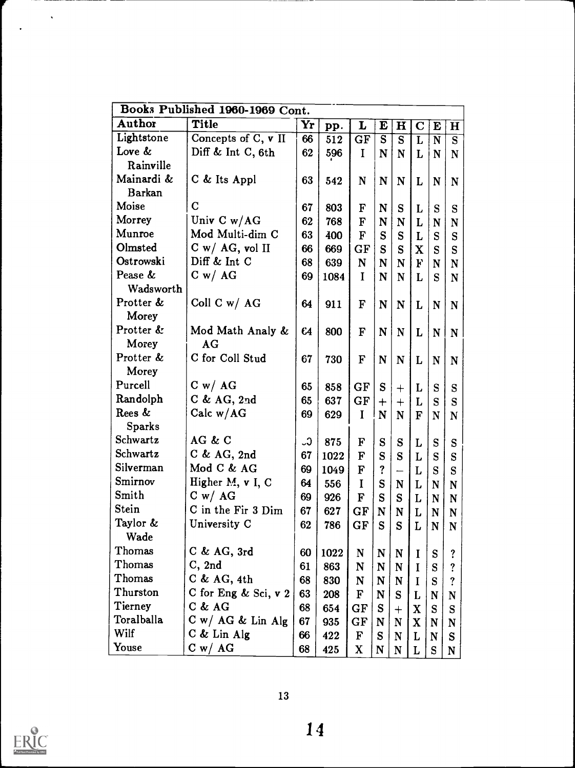| Books Published 1960-1969 Cont. |                                  |               |      |              |                |                         |                         |                       |                       |  |
|---------------------------------|----------------------------------|---------------|------|--------------|----------------|-------------------------|-------------------------|-----------------------|-----------------------|--|
| <b>Author</b>                   | <b>Title</b>                     | Yr            | pp.  | L            | E              | $\mathbf H$             | $\mathbf C$             | E                     | $\bf H$               |  |
| Lightstone                      | Concepts of $\overline{C, v}$ II | 66            | 512  | GF           | $\overline{s}$ | $\overline{\mathbf{s}}$ | $\overline{\mathbf{L}}$ | $\overline{\text{N}}$ | $\overline{\text{s}}$ |  |
| Love &                          | Diff & Int C, $6th$              | 62            | 596  | $\mathbf I$  | N              | N                       | L                       | N                     | N                     |  |
| Rainville                       |                                  |               |      |              |                |                         |                         |                       |                       |  |
| Mainardi &                      | C & Its Appl                     | 63            | 542  | $\mathbf N$  | N              | N                       | L                       | N                     | $\mathbf N$           |  |
| <b>Barkan</b>                   |                                  |               |      |              |                |                         |                         |                       |                       |  |
| Moise                           | $\mathbf C$                      | 67            | 803  | F            | N              | S                       | L                       | S                     | S                     |  |
| Morrey                          | Univ $C w/AG$                    | 62            | 768  | F            | N              | N                       | L                       | $\mathbf N$           | $\mathbf N$           |  |
| Munroe                          | Mod Multi-dim C                  | 63            | 400  | $\mathbf F$  | S              | ${\bf S}$               | L                       | S                     | S                     |  |
| Olmsted                         | C w/ AG, vol II                  | 66            | 669  | GF           | S              | ${\bf S}$               | $\mathbf X$             | S                     | S                     |  |
| Ostrowski                       | Diff & Int C                     | 68            | 639  | N            | N              | N                       | $\mathbf{F}$            | N                     | $\mathbf N$           |  |
| Pease &                         | C w / AG                         | 69            | 1084 | $\mathbf I$  | N              | N                       | L                       | S                     | $\mathbf N$           |  |
| Wadsworth                       |                                  |               |      |              |                |                         |                         |                       |                       |  |
| Protter &                       | Coll C w/ $AG$                   | 64            | 911  | $\mathbf F$  | N              | N                       | L                       | N                     | $\mathbf N$           |  |
| Morey                           |                                  |               |      |              |                |                         |                         |                       |                       |  |
| Protter &                       | Mod Math Analy &                 | 64            | 800  | $\mathbf F$  | $\mathbf N$    | N                       | $\mathbf{L}$            | $\mathbf N$           | N                     |  |
| Morey                           | AG                               |               |      |              |                |                         |                         |                       |                       |  |
| Protter &                       | C for Coll Stud                  | 67            | 730  | F            | N              | ${\bf N}$               | L                       | N                     | N                     |  |
| Morey                           |                                  |               |      |              |                |                         |                         |                       |                       |  |
| Purcell                         | C w / AG                         | 65            | 858  | GF           | S              | $\boldsymbol{+}$        | L                       | S                     | S                     |  |
| Randolph                        | C & AG, 2nd                      | 65            | 637  | GF           | $+$            | $^{+}$                  | L                       | S                     | S                     |  |
| Rees &                          | Calc $w/AG$                      | 69            | 629  | $\mathbf I$  | N              | ${\bf N}$               | $\mathbf{F}$            | N                     | ${\bf N}$             |  |
| <b>Sparks</b>                   |                                  |               |      |              |                |                         |                         |                       |                       |  |
| Schwartz                        | AG & C                           | $\mathcal{C}$ | 875  | F            | S              | S                       | $\mathbf L$             | S                     | ${\bf S}$             |  |
| Schwartz                        | $C$ & AG, 2nd                    | 67            | 1022 | $\mathbf F$  | S              | S                       | L                       | S                     | S                     |  |
| Silverman                       | Mod C & AG                       | 69            | 1049 | F            | ?              |                         | L                       | ${\bf S}$             | S                     |  |
| Smirnov                         | Higher M, v I, C                 | 64            | 556  | I            | S              | N                       | L                       | N                     | $\mathbf N$           |  |
| Smith                           | C w / AG                         | 69            | 926  | F            | S              | S                       | L                       | N                     | $\mathbf N$           |  |
| <b>Stein</b>                    | C in the Fir 3 Dim               | 67            | 627  | GF           | N              | N                       | L                       | $\mathbf N$           | N                     |  |
| Taylor &                        | University C                     | 62            | 786  | GF           | S              | S                       | L                       | N                     | N                     |  |
| Wade                            |                                  |               |      |              |                |                         |                         |                       |                       |  |
| Thomas                          | $C$ & AG, 3rd                    | 60            | 1022 | N            | N              | $\mathbf N$             |                         | S                     | ?                     |  |
| Thomas                          | C, 2nd                           | 61            | 863  | $\mathbf N$  | $\mathbf N$    | $\mathbf N$             | $\bf{I}$                | S                     | ?                     |  |
| Thomas                          | C & AG, 4th                      | 68            | 830  | $\mathbf N$  | $\mathbf N$    | $\mathbf N$             | $\bf{I}$                | S                     | ?                     |  |
| Thurston                        | C for Eng $&$ Sci, $v$ 2         | 63            | 208  | F            | N              | S.                      | L                       | N                     | N                     |  |
| Tierney                         | $C$ & $AG$                       | 68            | 654  | GF           | S              | $^{+}$                  | $\mathbf{X}$            | S                     | S                     |  |
| Toralballa                      | $C w / AG &$ Lin Alg             | 67            | 935  | GF           | $\mathbf N$    | $\mathbf N$             | $\mathbf{X}$            | $\mathbf N$           | $\mathbf N$           |  |
| Wilf                            | $C$ & Lin Alg                    | 66            | 422  | $\mathbf F$  | S              | $\mathbf N$             | L                       | $\mathbf N$           | S                     |  |
| Youse                           | C w / AG                         | 68            | 425  | $\mathbf{X}$ | N              | N                       | L                       | S                     | ${\bf N}$             |  |
|                                 |                                  |               |      |              |                |                         |                         |                       |                       |  |



 $\langle \rangle$ 

 $\ddot{\phantom{1}}$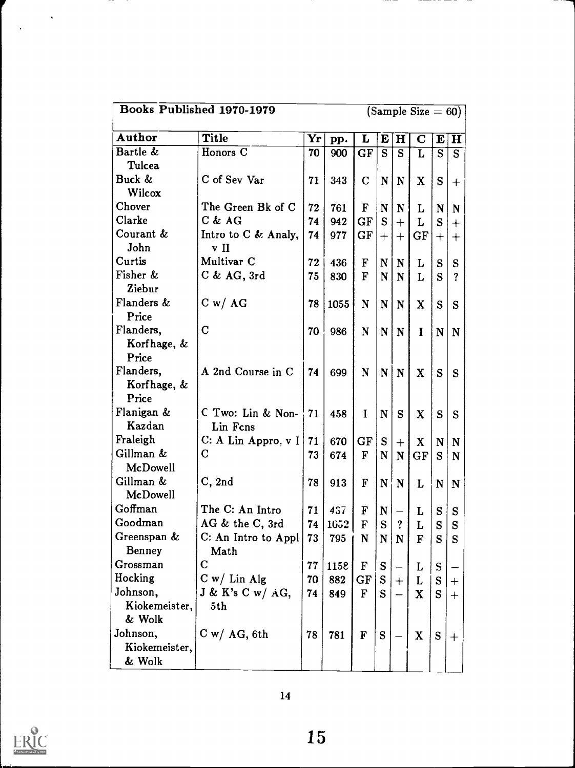|                                     | Books Published 1970-1979<br>$(Sample Size = 60)$ |                    |      |              |                         |                         |              |                |              |  |
|-------------------------------------|---------------------------------------------------|--------------------|------|--------------|-------------------------|-------------------------|--------------|----------------|--------------|--|
| Author                              | <b>Title</b>                                      | $\mathbf{Yr} \,  $ | pp.  | L            | $\mathbf{E}$            | $\mathbf H$             | $\bf C$      | $\mathbf{E}$   | H            |  |
| Bartle &<br>Tulcea                  | Honors C                                          | 70                 | 900  | GF           | $\overline{\mathbf{s}}$ | $\overline{\mathbf{s}}$ | $\mathbf{L}$ | $\overline{s}$ | <sub>S</sub> |  |
| Buck &<br>Wilcox                    | C of Sev Var                                      | 71                 | 343  | $\mathbf C$  | $\mathbf{N}$            | N                       | $\mathbf{X}$ | S              | $+$          |  |
| Chover                              | The Green Bk of C                                 | 72                 | 761  | $\mathbf{F}$ | $\mathbf N$             | N                       | L            | N              | N            |  |
| Clarke                              | $C$ & $AG$                                        | 74                 | 942  | GF           | S                       | $+$                     | L            | S              | $+$          |  |
| Courant &<br>John                   | Intro to C & Analy,<br>v II                       | 74                 | 977  | $GF \vert$   | $+ $                    | $+$                     | GF           | $^{+}$         | $+$          |  |
| Curtis                              | Multivar <sub>C</sub>                             | 72                 | 436  | $\mathbf F$  | N                       | N                       | L            | ${\bf S}$      | S            |  |
| Fisher &<br>Ziebur                  | $C$ & AG, 3rd                                     | 75                 | 830  | $\mathbf{F}$ | $\mathbf N$             | N                       | L            | S              | ?            |  |
| Flanders &<br>Price                 | C w / AG                                          | 78                 | 1055 | $\mathbf N$  | $\mathbf{N}$            | N                       | X            | S              | S            |  |
| Flanders,<br>Korfhage, &<br>Price   | $\mathbf C$                                       | 70                 | 986  | $\mathbf N$  | $\mathbf{N}$            | $\mathbf N$             | $\bf{I}$     | $\mathbf N$    | $\mathbf N$  |  |
| Flanders,<br>Korfhage, &<br>Price   | A 2nd Course in C                                 | 74                 | 699  | $\mathbf N$  | $\mathbf{N}$            | $\mathbf N$             | X            | S              | S            |  |
| Flanigan &<br>Kazdan                | C Two: Lin & Non-<br>Lin Fcns                     | 71                 | 458  | I            | $\mathbf N$             | S                       | X            | S              | S            |  |
| Fraleigh                            | C: A Lin Appro, $vI$                              | 71                 | 670  | GF           | ${\bf S}$               | $+$                     | X            | $\mathbf N$    | $\mathbf N$  |  |
| Gillman &<br>McDowell               | $\mathbf C$                                       | 73                 | 674  | $\mathbf{F}$ | $\mathbf N$             | $\mathbf N$             | GF           | S              | $\mathbf N$  |  |
| Gillman &<br><b>McDowell</b>        | C, 2nd                                            | 78                 | 913  | $\mathbf F$  |                         | $N \mid N$              | L            | $\mathbf N$    | $\mathbf N$  |  |
| Goffman                             | The C: An Intro                                   | 71                 | 457  | $\mathbf F$  | N                       |                         | L            | ${\bf S}$      | S            |  |
| Goodman                             | AG & the C, 3rd                                   | 74                 | 1052 | F            | S                       | ?                       | L            | S              | S            |  |
| Greenspan &<br><b>Benney</b>        | C: An Intro to Appl<br>Math                       | 73                 | 795  | $\mathbf N$  |                         | N N                     | F            | S              | ${\bf S}$    |  |
| Grossman                            | $\mathbf C$                                       |                    |      |              |                         |                         |              |                |              |  |
|                                     |                                                   | 77                 | 1158 | $\mathbf F$  | S                       |                         | L            | S              |              |  |
| Hocking                             | $C w /$ Lin Alg                                   | 70                 | 882  | GF           | S                       | $+$                     | L            | S              | $+$          |  |
| Johnson,<br>Kiokemeister,<br>& Wolk | $J \& K's C w / AG,$<br>5th                       | 74                 | 849  | $\mathbf{F}$ | S                       |                         | $\mathbf{X}$ | S              | $+$          |  |
| Johnson,<br>Kiokemeister,<br>& Wolk | $C w / AG$ , 6th                                  | 78                 | 781  | $\mathbf F$  | S                       |                         | $\mathbf{X}$ | S              | $+$          |  |



 $\sim$ 

 $\mathbb{R}^2$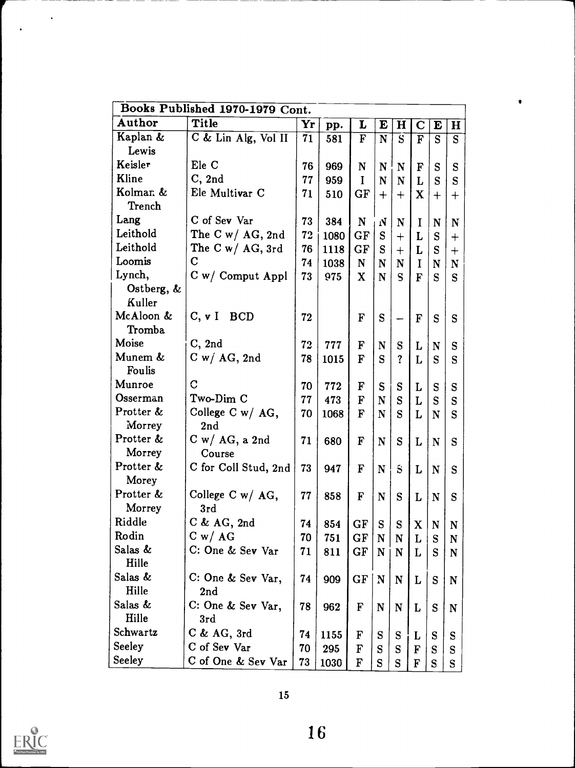| Author<br><b>Title</b><br>Yr<br>$\mathbf H$<br>E<br>L<br>E<br>$\mathbf C$<br>$\mathbf H$<br>pp.<br>Kaplan &<br>C & Lin Alg, Vol II<br>$\overline{\mathbf{F}}$<br>71<br>$\overline{\mathbf{N}}$<br>$\overline{s}$<br>$\overline{\mathbf{s}}$<br>581<br>$\mathbf{F}$<br>S |
|-------------------------------------------------------------------------------------------------------------------------------------------------------------------------------------------------------------------------------------------------------------------------|
|                                                                                                                                                                                                                                                                         |
|                                                                                                                                                                                                                                                                         |
| Lewis                                                                                                                                                                                                                                                                   |
| Keisler<br>Ele C<br>76<br>969<br>N<br>N<br>N<br>F<br>S<br>S                                                                                                                                                                                                             |
| Kline<br>C, 2nd<br>77<br>959<br>I<br>N<br>S<br>S<br>N<br>L                                                                                                                                                                                                              |
| Kolman &<br>Ele Multivar C<br>71<br>GF<br>510<br>X<br>$^{+}$<br>$^{+}$<br>$\bm{+}$<br>$\mathrm{+}$                                                                                                                                                                      |
| Trench                                                                                                                                                                                                                                                                  |
| Lang<br>C of Sev Var<br>73<br>384<br>N<br>$\mathbf{N}$<br>$\bf{I}$<br>N<br>$\mathbf N$<br>N                                                                                                                                                                             |
| Leithold<br>The C w/ AG, 2nd<br>72<br>1080<br>GF<br>S<br>L<br>S<br>$^{+}$<br>$^{+}$                                                                                                                                                                                     |
| Leithold<br>The C w/ $AG$ , 3rd<br>76<br>1118<br>GF<br>S<br>L<br>S<br>$^{+}$<br>$^{+}$                                                                                                                                                                                  |
| Loomis<br>$\mathbf C$<br>74<br>1038<br>$\mathbf N$<br>$\mathbf N$<br>${\bf N}$<br>N<br>$\bf{I}$<br>N                                                                                                                                                                    |
| Lynch,<br>C w/ Comput Appl<br>73<br>975<br>$\mathbf x$<br>$\mathbf N$<br>$\mathbf{F}$<br>S<br>S<br>S                                                                                                                                                                    |
| Ostberg, &                                                                                                                                                                                                                                                              |
| Kuller                                                                                                                                                                                                                                                                  |
| McAloon &<br>C, v I BCD<br>72<br>$\mathbf F$<br>S<br>$\mathbf{F}$<br>S<br>S<br>—                                                                                                                                                                                        |
| Tromba                                                                                                                                                                                                                                                                  |
| Moise<br>C, 2nd<br>72<br>777<br>F<br>${\bf N}$<br>S<br>S<br>L<br>N                                                                                                                                                                                                      |
| Munem &<br>$C w / AG$ , 2nd<br>78<br>F<br>S<br>?<br>1015<br>L<br>S<br>S                                                                                                                                                                                                 |
| Foulis                                                                                                                                                                                                                                                                  |
| $\mathbf C$<br>Munroe<br>70<br>772<br>F<br>S<br>$\bf L$<br>S<br>S<br>S                                                                                                                                                                                                  |
| Osserman<br>Two-Dim C<br>77<br>473<br>F<br>N<br>S<br>S<br>S<br>L                                                                                                                                                                                                        |
| Protter &<br>College C w/ $AG$ ,<br>F<br>70<br>1068<br>$\mathbf N$<br>S<br>L<br>S<br>N                                                                                                                                                                                  |
| Morrey<br>2nd                                                                                                                                                                                                                                                           |
| Protter &<br>$C w / AG$ , a 2nd<br>71<br>F<br>680<br>N<br>S<br>S<br>L<br>$\mathbf N$                                                                                                                                                                                    |
| Morrey<br>Course                                                                                                                                                                                                                                                        |
| Protter &<br>C for Coll Stud, 2nd<br>73<br>947<br>F<br>$\mathbf S$<br>L<br>N<br>S<br>N                                                                                                                                                                                  |
| Morey                                                                                                                                                                                                                                                                   |
| Protter &<br>College C w/ $AG$ ,<br>77<br>858<br>F<br>$\mathbf N$<br>S<br>L<br>S<br>N                                                                                                                                                                                   |
| Morrey<br>3rd                                                                                                                                                                                                                                                           |
| Riddle<br>$C$ & AG, 2nd<br>74<br>854<br>GF<br>${\bf S}$<br>S<br>X<br>N<br>N                                                                                                                                                                                             |
| Rodin<br>C w / AG<br>70<br>751<br>GF<br>S<br>$\mathbf N$<br>N<br>Г<br>N                                                                                                                                                                                                 |
| Salas &<br>C: One & Sev Var<br>71<br>811<br>GF<br>${\bf N}$<br>$\mathbf N$<br>L<br>S<br>N                                                                                                                                                                               |
| Hille                                                                                                                                                                                                                                                                   |
| Salas &<br>C: One & Sev Var,<br>74<br>GF<br>909<br>N<br>N<br>L<br>S<br>$\mathbf N$                                                                                                                                                                                      |
| Hille<br>2nd                                                                                                                                                                                                                                                            |
| Salas &<br>C: One & Sev Var,<br>78<br>962<br>F<br>N<br>N<br>L<br>S<br>N                                                                                                                                                                                                 |
| Hille<br>3rd                                                                                                                                                                                                                                                            |
| Schwartz<br>$C$ & AG, 3rd<br>74<br>1155<br>S<br>S<br>F<br>S<br>L<br>S                                                                                                                                                                                                   |
| <b>Seeley</b><br>C of Sev Var<br>70<br>295<br>F<br>S<br>S<br>S<br>F<br>S                                                                                                                                                                                                |
| <b>Seeley</b><br>C of One & Sev Var<br>73<br>1030<br>F<br>${\bf S}$<br>S<br>F<br>${\bf S}$<br>${\bf S}$                                                                                                                                                                 |

 $\bullet$ 



 $\ddot{\phantom{0}}$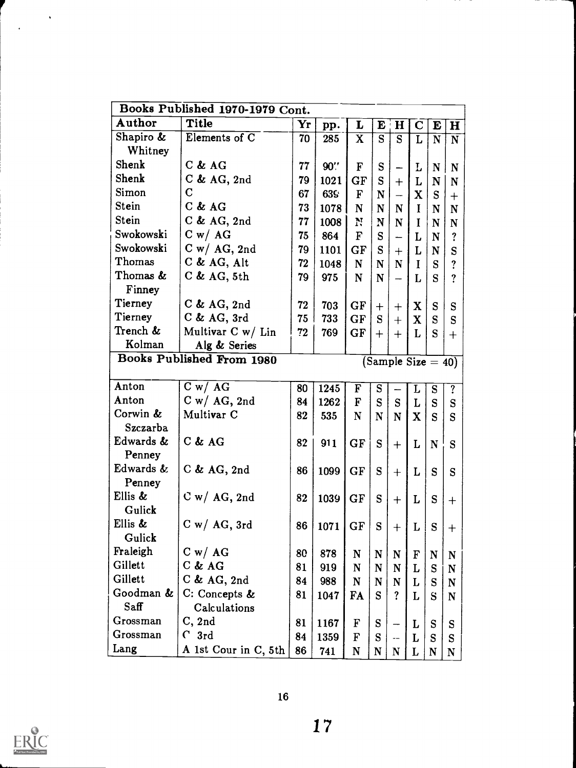| Author<br><b>Title</b><br>Yr<br>L<br>$\mathbf{E}$<br>$\mathbf H$<br>$\mathbf C$<br>pp.<br>E<br>$\mathbf H$<br>Shapiro &<br>Elements of C<br>70<br>$\overline{\mathbf{X}}$<br>S<br>285<br>S<br>$\mathbf N$<br>L<br>$\mathbf N$<br>Whitney<br>Shenk<br>$C$ & $AG$<br>77<br>$90$ .<br>${\bf S}$<br>F<br>L<br>N<br>N<br>Shenk<br>$C$ & AG, 2nd<br>79<br>S<br>1021<br>GF<br>L<br>$\mathbf N$<br>N<br>$+$<br>Simon<br>C<br>67<br>639<br>$\mathbf{F}$<br>$\mathbf X$<br>${\bf N}$<br>S<br>—<br>$+$<br>Stein<br>$C$ & $AG$<br>73<br>1078<br>$\mathbf N$<br>${\bf N}$<br>$\mathbf N$<br>$\mathbf I$<br>${\bf N}$<br>N<br>Stein<br>$C$ & AG, 2nd<br>77<br>N<br>1008<br>N<br>$\mathbf N$<br>I<br>N<br>N<br>Swokowski<br>C w / AG<br>75<br>864<br>F<br>S<br>L<br>?<br>N<br>—<br>Swokowski<br>$C w / AG$ , 2nd<br>${\bf S}$<br>79<br>1101<br>GF<br>L<br>$\mathbf N$<br>S<br>$+$<br>Thomas<br>$C$ & AG, Alt<br>72<br>1048<br>N<br>?<br>N<br>$\mathbf N$<br>I<br>S<br>Thomas &<br>$C$ & AG, 5th<br>79<br>975<br>$\mathbf N$<br>$\mathbf N$<br>S<br>?<br>L<br>Finney<br>Tierney<br>$C$ & AG, 2nd<br>72<br>GF<br>703<br>X<br>S<br>S<br>$^{+}$<br>$^{+}$<br>Tierney<br>$C$ & AG, 3rd<br>75<br>733<br>GF<br>${\bf S}$<br>$\mathbf X$<br>S<br>S<br>$+$<br>Trench &<br>Multivar $C w / Lin$<br>72<br>769<br>GF<br>L<br>S<br>$+$<br>$+$<br>$+$<br>Kolman<br>Alg & Series<br><b>Books Published From 1980</b><br>$(Sample Size = 40)$<br>Anton<br>C w / AG<br>80<br>1245<br>F<br>S<br>$\overline{?}$<br>${\bf S}$<br>L<br>Anton<br>$C w / AG$ , 2nd<br>1262<br>F<br>S<br>${\bf S}$<br>84<br>L<br>${\bf S}$<br>S<br>Corwin &<br>Multivar <sub>C</sub><br>82<br>535<br>$\mathbf N$<br>$\mathbf N$<br>$\mathbf X$<br>S<br>S<br>$\mathbf N$<br>Szczarba<br>Edwards &<br>$C$ & $AG$<br>82<br>GF<br>${\bf S}$<br>911<br>L<br>S<br>$\mathbf N$<br>$+$<br>Penney<br>Edwards &<br>$C$ & AG, 2nd<br>86<br>GF<br>S<br>1099<br>L<br>S<br>S<br>$^{+}$<br>Penney<br>Ellis &<br>$C w / AG$ , 2nd<br>82<br>GF<br>S<br>1039<br>L<br>S<br>$^{+}$<br>$^{+}$<br>Gulick<br>Ellis &<br>$C w / AG$ , 3rd<br>86<br>GF<br>1071<br>S<br>L<br>S<br>$\mathrm{+}$<br>$^{+}$<br>Gulick<br>Fraleigh<br>C w / AG<br>80<br>878<br>N<br>${\bf N}$<br>$\mathbf N$<br>N<br>F<br>N<br>Gillett<br>$C$ & $AG$<br>81<br>919<br>$\mathbf N$<br>N<br>L<br>${\bf S}$<br>N<br>N<br>Gillett<br>$C$ & AG, 2nd<br>84<br>988<br>N<br>${\bf N}$<br>S<br>$\mathbf N$<br>L<br>N<br>Goodman &<br>C: Concepts &<br>81<br><b>FA</b><br>S<br>1047<br>$\overline{\mathbf{?}}$<br>L<br>S<br>$\mathbf N$<br>Saff<br>Calculations<br>Grossman<br>C, 2nd<br>81<br>F<br>${\bf S}$<br>1167<br>L<br>S<br>S<br>Grossman<br>$C_{\text{3rd}}$<br>84<br>1359<br>${\bf S}$<br>F<br>L<br>S<br>S<br>Lang<br>86 | Books Published 1970-1979 Cont. |     |   |   |             |   |           |   |
|-------------------------------------------------------------------------------------------------------------------------------------------------------------------------------------------------------------------------------------------------------------------------------------------------------------------------------------------------------------------------------------------------------------------------------------------------------------------------------------------------------------------------------------------------------------------------------------------------------------------------------------------------------------------------------------------------------------------------------------------------------------------------------------------------------------------------------------------------------------------------------------------------------------------------------------------------------------------------------------------------------------------------------------------------------------------------------------------------------------------------------------------------------------------------------------------------------------------------------------------------------------------------------------------------------------------------------------------------------------------------------------------------------------------------------------------------------------------------------------------------------------------------------------------------------------------------------------------------------------------------------------------------------------------------------------------------------------------------------------------------------------------------------------------------------------------------------------------------------------------------------------------------------------------------------------------------------------------------------------------------------------------------------------------------------------------------------------------------------------------------------------------------------------------------------------------------------------------------------------------------------------------------------------------------------------------------------------------------------------------------------------------------------------------------------------------------------------------------------------------------------------------------------------------------------------------------------------------------------------------------------------------------------------------------------------------------------------------|---------------------------------|-----|---|---|-------------|---|-----------|---|
|                                                                                                                                                                                                                                                                                                                                                                                                                                                                                                                                                                                                                                                                                                                                                                                                                                                                                                                                                                                                                                                                                                                                                                                                                                                                                                                                                                                                                                                                                                                                                                                                                                                                                                                                                                                                                                                                                                                                                                                                                                                                                                                                                                                                                                                                                                                                                                                                                                                                                                                                                                                                                                                                                                                   |                                 |     |   |   |             |   |           |   |
|                                                                                                                                                                                                                                                                                                                                                                                                                                                                                                                                                                                                                                                                                                                                                                                                                                                                                                                                                                                                                                                                                                                                                                                                                                                                                                                                                                                                                                                                                                                                                                                                                                                                                                                                                                                                                                                                                                                                                                                                                                                                                                                                                                                                                                                                                                                                                                                                                                                                                                                                                                                                                                                                                                                   |                                 |     |   |   |             |   |           |   |
|                                                                                                                                                                                                                                                                                                                                                                                                                                                                                                                                                                                                                                                                                                                                                                                                                                                                                                                                                                                                                                                                                                                                                                                                                                                                                                                                                                                                                                                                                                                                                                                                                                                                                                                                                                                                                                                                                                                                                                                                                                                                                                                                                                                                                                                                                                                                                                                                                                                                                                                                                                                                                                                                                                                   |                                 |     |   |   |             |   |           |   |
|                                                                                                                                                                                                                                                                                                                                                                                                                                                                                                                                                                                                                                                                                                                                                                                                                                                                                                                                                                                                                                                                                                                                                                                                                                                                                                                                                                                                                                                                                                                                                                                                                                                                                                                                                                                                                                                                                                                                                                                                                                                                                                                                                                                                                                                                                                                                                                                                                                                                                                                                                                                                                                                                                                                   |                                 |     |   |   |             |   |           |   |
|                                                                                                                                                                                                                                                                                                                                                                                                                                                                                                                                                                                                                                                                                                                                                                                                                                                                                                                                                                                                                                                                                                                                                                                                                                                                                                                                                                                                                                                                                                                                                                                                                                                                                                                                                                                                                                                                                                                                                                                                                                                                                                                                                                                                                                                                                                                                                                                                                                                                                                                                                                                                                                                                                                                   |                                 |     |   |   |             |   |           |   |
|                                                                                                                                                                                                                                                                                                                                                                                                                                                                                                                                                                                                                                                                                                                                                                                                                                                                                                                                                                                                                                                                                                                                                                                                                                                                                                                                                                                                                                                                                                                                                                                                                                                                                                                                                                                                                                                                                                                                                                                                                                                                                                                                                                                                                                                                                                                                                                                                                                                                                                                                                                                                                                                                                                                   |                                 |     |   |   |             |   |           |   |
|                                                                                                                                                                                                                                                                                                                                                                                                                                                                                                                                                                                                                                                                                                                                                                                                                                                                                                                                                                                                                                                                                                                                                                                                                                                                                                                                                                                                                                                                                                                                                                                                                                                                                                                                                                                                                                                                                                                                                                                                                                                                                                                                                                                                                                                                                                                                                                                                                                                                                                                                                                                                                                                                                                                   |                                 |     |   |   |             |   |           |   |
|                                                                                                                                                                                                                                                                                                                                                                                                                                                                                                                                                                                                                                                                                                                                                                                                                                                                                                                                                                                                                                                                                                                                                                                                                                                                                                                                                                                                                                                                                                                                                                                                                                                                                                                                                                                                                                                                                                                                                                                                                                                                                                                                                                                                                                                                                                                                                                                                                                                                                                                                                                                                                                                                                                                   |                                 |     |   |   |             |   |           |   |
|                                                                                                                                                                                                                                                                                                                                                                                                                                                                                                                                                                                                                                                                                                                                                                                                                                                                                                                                                                                                                                                                                                                                                                                                                                                                                                                                                                                                                                                                                                                                                                                                                                                                                                                                                                                                                                                                                                                                                                                                                                                                                                                                                                                                                                                                                                                                                                                                                                                                                                                                                                                                                                                                                                                   |                                 |     |   |   |             |   |           |   |
|                                                                                                                                                                                                                                                                                                                                                                                                                                                                                                                                                                                                                                                                                                                                                                                                                                                                                                                                                                                                                                                                                                                                                                                                                                                                                                                                                                                                                                                                                                                                                                                                                                                                                                                                                                                                                                                                                                                                                                                                                                                                                                                                                                                                                                                                                                                                                                                                                                                                                                                                                                                                                                                                                                                   |                                 |     |   |   |             |   |           |   |
|                                                                                                                                                                                                                                                                                                                                                                                                                                                                                                                                                                                                                                                                                                                                                                                                                                                                                                                                                                                                                                                                                                                                                                                                                                                                                                                                                                                                                                                                                                                                                                                                                                                                                                                                                                                                                                                                                                                                                                                                                                                                                                                                                                                                                                                                                                                                                                                                                                                                                                                                                                                                                                                                                                                   |                                 |     |   |   |             |   |           |   |
|                                                                                                                                                                                                                                                                                                                                                                                                                                                                                                                                                                                                                                                                                                                                                                                                                                                                                                                                                                                                                                                                                                                                                                                                                                                                                                                                                                                                                                                                                                                                                                                                                                                                                                                                                                                                                                                                                                                                                                                                                                                                                                                                                                                                                                                                                                                                                                                                                                                                                                                                                                                                                                                                                                                   |                                 |     |   |   |             |   |           |   |
|                                                                                                                                                                                                                                                                                                                                                                                                                                                                                                                                                                                                                                                                                                                                                                                                                                                                                                                                                                                                                                                                                                                                                                                                                                                                                                                                                                                                                                                                                                                                                                                                                                                                                                                                                                                                                                                                                                                                                                                                                                                                                                                                                                                                                                                                                                                                                                                                                                                                                                                                                                                                                                                                                                                   |                                 |     |   |   |             |   |           |   |
|                                                                                                                                                                                                                                                                                                                                                                                                                                                                                                                                                                                                                                                                                                                                                                                                                                                                                                                                                                                                                                                                                                                                                                                                                                                                                                                                                                                                                                                                                                                                                                                                                                                                                                                                                                                                                                                                                                                                                                                                                                                                                                                                                                                                                                                                                                                                                                                                                                                                                                                                                                                                                                                                                                                   |                                 |     |   |   |             |   |           |   |
|                                                                                                                                                                                                                                                                                                                                                                                                                                                                                                                                                                                                                                                                                                                                                                                                                                                                                                                                                                                                                                                                                                                                                                                                                                                                                                                                                                                                                                                                                                                                                                                                                                                                                                                                                                                                                                                                                                                                                                                                                                                                                                                                                                                                                                                                                                                                                                                                                                                                                                                                                                                                                                                                                                                   |                                 |     |   |   |             |   |           |   |
|                                                                                                                                                                                                                                                                                                                                                                                                                                                                                                                                                                                                                                                                                                                                                                                                                                                                                                                                                                                                                                                                                                                                                                                                                                                                                                                                                                                                                                                                                                                                                                                                                                                                                                                                                                                                                                                                                                                                                                                                                                                                                                                                                                                                                                                                                                                                                                                                                                                                                                                                                                                                                                                                                                                   |                                 |     |   |   |             |   |           |   |
|                                                                                                                                                                                                                                                                                                                                                                                                                                                                                                                                                                                                                                                                                                                                                                                                                                                                                                                                                                                                                                                                                                                                                                                                                                                                                                                                                                                                                                                                                                                                                                                                                                                                                                                                                                                                                                                                                                                                                                                                                                                                                                                                                                                                                                                                                                                                                                                                                                                                                                                                                                                                                                                                                                                   |                                 |     |   |   |             |   |           |   |
|                                                                                                                                                                                                                                                                                                                                                                                                                                                                                                                                                                                                                                                                                                                                                                                                                                                                                                                                                                                                                                                                                                                                                                                                                                                                                                                                                                                                                                                                                                                                                                                                                                                                                                                                                                                                                                                                                                                                                                                                                                                                                                                                                                                                                                                                                                                                                                                                                                                                                                                                                                                                                                                                                                                   |                                 |     |   |   |             |   |           |   |
|                                                                                                                                                                                                                                                                                                                                                                                                                                                                                                                                                                                                                                                                                                                                                                                                                                                                                                                                                                                                                                                                                                                                                                                                                                                                                                                                                                                                                                                                                                                                                                                                                                                                                                                                                                                                                                                                                                                                                                                                                                                                                                                                                                                                                                                                                                                                                                                                                                                                                                                                                                                                                                                                                                                   |                                 |     |   |   |             |   |           |   |
|                                                                                                                                                                                                                                                                                                                                                                                                                                                                                                                                                                                                                                                                                                                                                                                                                                                                                                                                                                                                                                                                                                                                                                                                                                                                                                                                                                                                                                                                                                                                                                                                                                                                                                                                                                                                                                                                                                                                                                                                                                                                                                                                                                                                                                                                                                                                                                                                                                                                                                                                                                                                                                                                                                                   |                                 |     |   |   |             |   |           |   |
|                                                                                                                                                                                                                                                                                                                                                                                                                                                                                                                                                                                                                                                                                                                                                                                                                                                                                                                                                                                                                                                                                                                                                                                                                                                                                                                                                                                                                                                                                                                                                                                                                                                                                                                                                                                                                                                                                                                                                                                                                                                                                                                                                                                                                                                                                                                                                                                                                                                                                                                                                                                                                                                                                                                   |                                 |     |   |   |             |   |           |   |
|                                                                                                                                                                                                                                                                                                                                                                                                                                                                                                                                                                                                                                                                                                                                                                                                                                                                                                                                                                                                                                                                                                                                                                                                                                                                                                                                                                                                                                                                                                                                                                                                                                                                                                                                                                                                                                                                                                                                                                                                                                                                                                                                                                                                                                                                                                                                                                                                                                                                                                                                                                                                                                                                                                                   |                                 |     |   |   |             |   |           |   |
|                                                                                                                                                                                                                                                                                                                                                                                                                                                                                                                                                                                                                                                                                                                                                                                                                                                                                                                                                                                                                                                                                                                                                                                                                                                                                                                                                                                                                                                                                                                                                                                                                                                                                                                                                                                                                                                                                                                                                                                                                                                                                                                                                                                                                                                                                                                                                                                                                                                                                                                                                                                                                                                                                                                   |                                 |     |   |   |             |   |           |   |
|                                                                                                                                                                                                                                                                                                                                                                                                                                                                                                                                                                                                                                                                                                                                                                                                                                                                                                                                                                                                                                                                                                                                                                                                                                                                                                                                                                                                                                                                                                                                                                                                                                                                                                                                                                                                                                                                                                                                                                                                                                                                                                                                                                                                                                                                                                                                                                                                                                                                                                                                                                                                                                                                                                                   |                                 |     |   |   |             |   |           |   |
|                                                                                                                                                                                                                                                                                                                                                                                                                                                                                                                                                                                                                                                                                                                                                                                                                                                                                                                                                                                                                                                                                                                                                                                                                                                                                                                                                                                                                                                                                                                                                                                                                                                                                                                                                                                                                                                                                                                                                                                                                                                                                                                                                                                                                                                                                                                                                                                                                                                                                                                                                                                                                                                                                                                   |                                 |     |   |   |             |   |           |   |
|                                                                                                                                                                                                                                                                                                                                                                                                                                                                                                                                                                                                                                                                                                                                                                                                                                                                                                                                                                                                                                                                                                                                                                                                                                                                                                                                                                                                                                                                                                                                                                                                                                                                                                                                                                                                                                                                                                                                                                                                                                                                                                                                                                                                                                                                                                                                                                                                                                                                                                                                                                                                                                                                                                                   |                                 |     |   |   |             |   |           |   |
|                                                                                                                                                                                                                                                                                                                                                                                                                                                                                                                                                                                                                                                                                                                                                                                                                                                                                                                                                                                                                                                                                                                                                                                                                                                                                                                                                                                                                                                                                                                                                                                                                                                                                                                                                                                                                                                                                                                                                                                                                                                                                                                                                                                                                                                                                                                                                                                                                                                                                                                                                                                                                                                                                                                   |                                 |     |   |   |             |   |           |   |
|                                                                                                                                                                                                                                                                                                                                                                                                                                                                                                                                                                                                                                                                                                                                                                                                                                                                                                                                                                                                                                                                                                                                                                                                                                                                                                                                                                                                                                                                                                                                                                                                                                                                                                                                                                                                                                                                                                                                                                                                                                                                                                                                                                                                                                                                                                                                                                                                                                                                                                                                                                                                                                                                                                                   |                                 |     |   |   |             |   |           |   |
|                                                                                                                                                                                                                                                                                                                                                                                                                                                                                                                                                                                                                                                                                                                                                                                                                                                                                                                                                                                                                                                                                                                                                                                                                                                                                                                                                                                                                                                                                                                                                                                                                                                                                                                                                                                                                                                                                                                                                                                                                                                                                                                                                                                                                                                                                                                                                                                                                                                                                                                                                                                                                                                                                                                   |                                 |     |   |   |             |   |           |   |
|                                                                                                                                                                                                                                                                                                                                                                                                                                                                                                                                                                                                                                                                                                                                                                                                                                                                                                                                                                                                                                                                                                                                                                                                                                                                                                                                                                                                                                                                                                                                                                                                                                                                                                                                                                                                                                                                                                                                                                                                                                                                                                                                                                                                                                                                                                                                                                                                                                                                                                                                                                                                                                                                                                                   |                                 |     |   |   |             |   |           |   |
|                                                                                                                                                                                                                                                                                                                                                                                                                                                                                                                                                                                                                                                                                                                                                                                                                                                                                                                                                                                                                                                                                                                                                                                                                                                                                                                                                                                                                                                                                                                                                                                                                                                                                                                                                                                                                                                                                                                                                                                                                                                                                                                                                                                                                                                                                                                                                                                                                                                                                                                                                                                                                                                                                                                   |                                 |     |   |   |             |   |           |   |
|                                                                                                                                                                                                                                                                                                                                                                                                                                                                                                                                                                                                                                                                                                                                                                                                                                                                                                                                                                                                                                                                                                                                                                                                                                                                                                                                                                                                                                                                                                                                                                                                                                                                                                                                                                                                                                                                                                                                                                                                                                                                                                                                                                                                                                                                                                                                                                                                                                                                                                                                                                                                                                                                                                                   |                                 |     |   |   |             |   |           |   |
|                                                                                                                                                                                                                                                                                                                                                                                                                                                                                                                                                                                                                                                                                                                                                                                                                                                                                                                                                                                                                                                                                                                                                                                                                                                                                                                                                                                                                                                                                                                                                                                                                                                                                                                                                                                                                                                                                                                                                                                                                                                                                                                                                                                                                                                                                                                                                                                                                                                                                                                                                                                                                                                                                                                   |                                 |     |   |   |             |   |           |   |
|                                                                                                                                                                                                                                                                                                                                                                                                                                                                                                                                                                                                                                                                                                                                                                                                                                                                                                                                                                                                                                                                                                                                                                                                                                                                                                                                                                                                                                                                                                                                                                                                                                                                                                                                                                                                                                                                                                                                                                                                                                                                                                                                                                                                                                                                                                                                                                                                                                                                                                                                                                                                                                                                                                                   |                                 |     |   |   |             |   |           |   |
|                                                                                                                                                                                                                                                                                                                                                                                                                                                                                                                                                                                                                                                                                                                                                                                                                                                                                                                                                                                                                                                                                                                                                                                                                                                                                                                                                                                                                                                                                                                                                                                                                                                                                                                                                                                                                                                                                                                                                                                                                                                                                                                                                                                                                                                                                                                                                                                                                                                                                                                                                                                                                                                                                                                   |                                 |     |   |   |             |   |           |   |
|                                                                                                                                                                                                                                                                                                                                                                                                                                                                                                                                                                                                                                                                                                                                                                                                                                                                                                                                                                                                                                                                                                                                                                                                                                                                                                                                                                                                                                                                                                                                                                                                                                                                                                                                                                                                                                                                                                                                                                                                                                                                                                                                                                                                                                                                                                                                                                                                                                                                                                                                                                                                                                                                                                                   |                                 |     |   |   |             |   |           |   |
|                                                                                                                                                                                                                                                                                                                                                                                                                                                                                                                                                                                                                                                                                                                                                                                                                                                                                                                                                                                                                                                                                                                                                                                                                                                                                                                                                                                                                                                                                                                                                                                                                                                                                                                                                                                                                                                                                                                                                                                                                                                                                                                                                                                                                                                                                                                                                                                                                                                                                                                                                                                                                                                                                                                   |                                 |     |   |   |             |   |           |   |
|                                                                                                                                                                                                                                                                                                                                                                                                                                                                                                                                                                                                                                                                                                                                                                                                                                                                                                                                                                                                                                                                                                                                                                                                                                                                                                                                                                                                                                                                                                                                                                                                                                                                                                                                                                                                                                                                                                                                                                                                                                                                                                                                                                                                                                                                                                                                                                                                                                                                                                                                                                                                                                                                                                                   |                                 |     |   |   |             |   |           |   |
|                                                                                                                                                                                                                                                                                                                                                                                                                                                                                                                                                                                                                                                                                                                                                                                                                                                                                                                                                                                                                                                                                                                                                                                                                                                                                                                                                                                                                                                                                                                                                                                                                                                                                                                                                                                                                                                                                                                                                                                                                                                                                                                                                                                                                                                                                                                                                                                                                                                                                                                                                                                                                                                                                                                   | A 1st Cour in C, 5th            | 741 | N | N | $\mathbf N$ | L | ${\bf N}$ | N |



 $\sim$   $\sim$ 

 $\ddot{\phantom{1}}$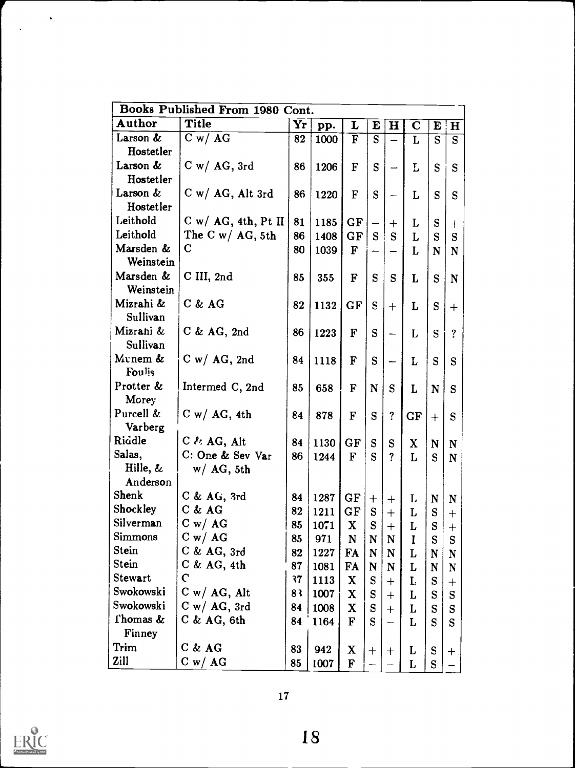| Books Published From 1980 Cont. |                               |    |      |              |             |                    |             |           |                    |  |  |
|---------------------------------|-------------------------------|----|------|--------------|-------------|--------------------|-------------|-----------|--------------------|--|--|
| Author                          | <b>Title</b>                  | Yr | pp.  | L            | E           | $\mathbf H$        | $\mathbf C$ | E         | $\mathbf{H}$       |  |  |
| Larson &                        | C w / AG                      | 82 | 1000 | $\mathbf F$  | S           |                    | L           | S         | S                  |  |  |
| Hostetler                       |                               |    |      |              |             |                    |             |           |                    |  |  |
| Larson &                        | $C w / AG$ , 3rd              | 86 | 1206 | F            | S           |                    | L           | S         | S                  |  |  |
| Hostetler                       |                               |    |      |              |             |                    |             |           |                    |  |  |
| Larson &                        | $C w / AG$ , Alt 3rd          | 86 | 1220 | F            | S           |                    | L           | S         | S                  |  |  |
| Hostetler                       |                               |    |      |              |             |                    |             |           |                    |  |  |
| Leithold                        | $C$ w/ AG, 4th, Pt II         | 81 | 1185 | GF           |             | $^{+}$             | L           | S         | $\bm{+}$           |  |  |
| Leithold                        | The C w/ $AG$ , 5th           | 86 | 1408 | GF           | S           | S                  | L           | S         | S                  |  |  |
| Marsden &<br>Weinstein          | $\bf C$                       | 80 | 1039 | $\mathbf F$  |             |                    | L           | N         | N                  |  |  |
| Marsden &                       | C III, 2nd                    | 85 | 355  | F            | S           | S                  | L           | S         | N                  |  |  |
| Weinstein                       |                               |    |      |              |             |                    |             |           |                    |  |  |
| Mizrahi &<br>Sullivan           | $C$ & $AG$                    | 82 | 1132 | GF           | S           | $+$                | L           | S         | $^{+}$             |  |  |
| Mizrani &                       | $C$ & AG, 2nd                 | 86 | 1223 | $\mathbf F$  | S           |                    | L           | S         | ?                  |  |  |
| Sullivan                        |                               |    |      |              |             |                    |             |           |                    |  |  |
| Munem &<br>Foulis               | $C w / AG$ , 2nd              | 84 | 1118 | F            | S           |                    | L           | S         | S                  |  |  |
| Protter &                       | Intermed C, 2nd               | 85 | 658  | $\mathbf F$  | N           | ${\bf S}$          | L           | N         | S                  |  |  |
| Morey                           |                               |    |      |              |             |                    |             |           |                    |  |  |
| Purcell &                       | $C w / AG$ , 4th              | 84 | 878  | F            | S           | $\ddot{?}$         | GF          | $+$       | S                  |  |  |
| Varberg                         |                               |    |      |              |             |                    |             |           |                    |  |  |
| Riddle                          | $C \nmid \mathcal{E}$ AG, Alt | 84 | 1130 | GF           | S           | ${\bf S}$          | X           | N         | N                  |  |  |
| Salas,                          | C: One & Sev Var              | 86 | 1244 | $\mathbf{F}$ | S           | ?                  | L           | S         | $\mathbf N$        |  |  |
| Hille, &                        | $w/AG$ , 5th                  |    |      |              |             |                    |             |           |                    |  |  |
| Anderson                        |                               |    |      |              |             |                    |             |           |                    |  |  |
| Shenk                           | $C$ & AG, 3rd                 | 84 | 1287 | GF           | $^{+}$      | $^{+}$             | L           | N         | $\mathbf N$        |  |  |
| Shockley                        | $C$ & $AG$                    | 82 | 1211 | GF           | S           | $+$                | L           | S         | $\boldsymbol{+}$   |  |  |
| Silverman                       | C w / AG                      | 85 | 1071 | $\mathbf X$  | S           | $+$                | L           | S         | $^{+}$             |  |  |
| Simmons                         | C w / AG                      | 85 | 971  | N            | N           | N                  | I           | S         | S                  |  |  |
| Stein                           | $C$ & AG, $3rd$               | 82 | 1227 | FA           | $\mathbf N$ | N                  | L           | N         | N                  |  |  |
| Stein                           | $C$ & AG, 4th                 | 87 | 1081 | <b>FA</b>    | N           | N                  | L           | N         | N                  |  |  |
| Stewart                         | $\mathsf C$                   | 37 | 1113 | X            | S           | $^{+}$             | L           | ${\bf S}$ | $\hspace{0.1mm} +$ |  |  |
| Swokowski                       | $C w / AG$ , Alt              | 83 | 1007 | X            | S           | $\hspace{0.1mm} +$ | L           | S         | S                  |  |  |
| Swokowski                       | $C w / AG$ , 3rd              | 84 | 1008 | X            | ${\bf S}$   | $+$                | L           | S         | S                  |  |  |
| Thomas &                        | $C$ & AG, 6th                 | 84 | 1164 | $\mathbf{F}$ | S           |                    | L           | S         | S                  |  |  |
| Finney                          |                               |    |      |              |             |                    |             |           |                    |  |  |
| Trim                            | $C$ & $AG$                    | 83 | 942  | $\mathbf X$  | $+$         | $\ddag$            | L           | S         | $\pm$              |  |  |
| Zill                            | C w / AG                      | 85 | 1007 | $\mathbf F$  |             |                    | L           | ${\bf S}$ |                    |  |  |



 $\mathcal{O}(\frac{1}{2})$ 

 $\mathbb{Z}_2$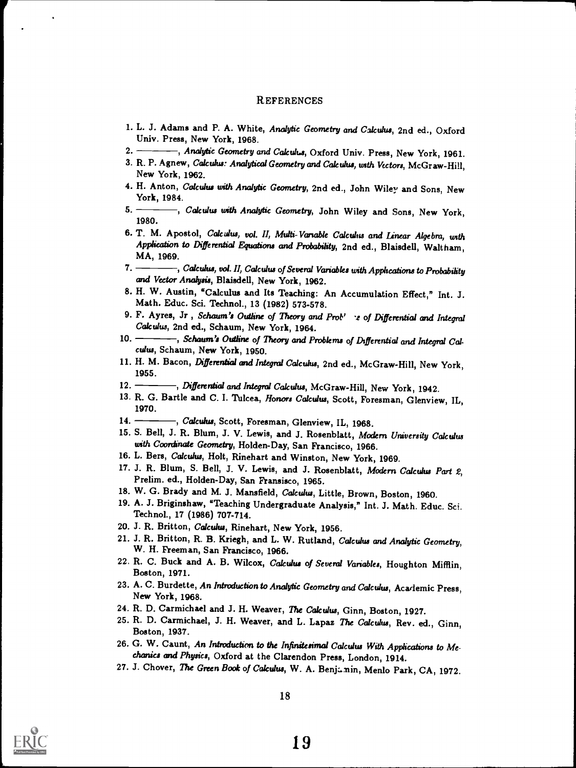#### **REFERENCES**

- 1. L. J. Adams and P. A. White, Analytic Geometry and Calculus, 2nd ed., Oxford Univ. Press, New York, 1968.
- 2. Analytic Geometry and Calculus, Oxford Univ. Press, New York, 1961.
- 3. R. P. Agnew, Calculus: Analytical Geometry and Calculus, with Vectors, McGraw-Hill, New York, 1962.
- 4. H. Anton, Calculus with Analytic Geometry, 2nd ed., John Wiley and Sons, New York, 1984.
- 5. Real Calculus with Analytic Geometry, John Wiley and Sons, New York, 1980.
- 6. T. M. Apostol, Calculus, vol. II, Multi- Variable Calculus and Linear Algebra, with Application to Differential Equations and Probability, 2nd ed., Blaisdell, Waltham, MA, 1969.
- 7. -----, Calculus, vol. II, Calculus of Several Variables with Applications to Probability and Vector Analysis, Blaisdell, New York, 1962.
- 8. H. W. Austin, "Calculus and Its Teaching: An Accumulation Effect," Int. J. Math. Educ. Sci. Technol., 13 (1982) 573-578.
- 9. F. Ayres, Jr, Schaum's Outline of Theory and Pro $b'$   $\rightarrow$  of Differential and Integral Calculus, 2nd ed., Schaum, New York, 1964.
- 10. Schaum's Outline of Theory and Problems of Differential and Integral Calculus, Schaum, New York, 1950.
- 11. H. M. Bacon, Differential and Integral Calculus, 2nd ed., McGraw-Hill, New York, 1955.
- 12. Bifferential and Integral Calculus, McGraw-Hill, New York, 1942.
- 13. R. G. Bartle and C. I. Tulcea, Honors Calculus, Scott, Foresman, Glenview, IL, 1970.
- 14. Calculus, Scott, Foresman, Glenview, IL, 1968.
- 15. S. Bell, J. R. Blum, J. V. Lewis, and J. Rosenblatt, Modern University Calculus with Coordinate Geometry, Holden-Day, San Francisco, 1966.
- 16. L. Bers, Calculus, Holt, Rinehart and Winston, New York, 1969.
- 17. J. R. Blum, S. Bell, J. V. Lewis, and J. Rosenblatt, Modern Calculus Part 2, Prelim. ed., Holden-Day, San Fransisco, 1965.
- 18. W. G. Brady and M. J. Mansfield, Calculus, Little, Brown, Boston, 1960.
- 19. A. J. Briginshaw, "Teaching Undergraduate Analysis," Int. J. Math. Educ. Sci. Technol., 17 (1986) 707-714.
- 20. J. R. Britton, Calculus, Rinehart, New York, 1956.
- 21. J. R. Britton, R. B. Kriegh, and L. W. Rutland, Calculus and Analytic Geometry, W. H. Freeman, San Francisco, 1966.
- 22, R. C. Buck and A. B. Wilcox, Calculus of Several Variables, Houghton Mifflin, Boston, 1971.
- 23. A. C. Burdette, An Introduction to Analytic Geometry and Calculus, Academic Press, New York, 1968.
- 24. R. D. Carmichael and J. H. Weaver, The Calculus, Ginn, Boston, 1927.
- 25. R. D. Carmichael, J. H. Weaver, and L. Lapaz The Calculus, Rev. ed., Ginn, Boston, 1937.
- 26. G. W. Caunt, An Introduction to the Infinitesimal Calculus With Applications to Mechanics and Physics, Oxford at the Clarendon Press, London, 1914.
- 27. J. Chover, The Green Book of Calculus, W. A. Benjamin, Menlo Park, CA, 1972.

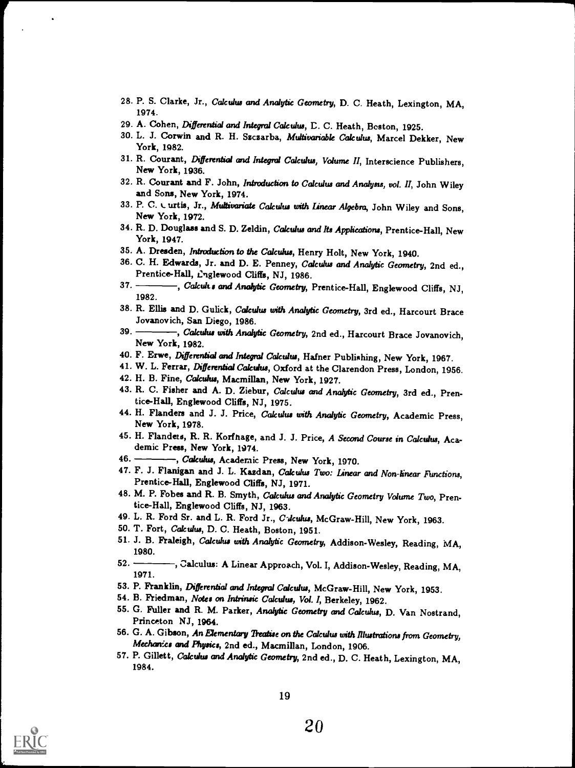- 28. P. S. Clarke, Jr., Calculus and Analytic Geometry, D. C. Heath, Lexington, MA, 1974.
- 29. A. Cohen, Differential and Integral Calculus, D. C. Heath, Beston, 1925.
- 30. L. J. Corwin and R. H. Szczarba, Multivariable Calculus, Marcel Dekker, New York, 1982.
- 31. R. Courant, Differential and Integral Calculus, Volume II, Interscience Publishers, New York, 1936.
- 32. R. Courant and F. John, introduction to Calculus and Analysis, vol. II, John Wiley and Sons, New York, 1974.
- 33. P. C. L urtis, Jr., Multivariate Calculus with Linear Algebra, John Wiley and Sons, New York, 1972.
- 34. R. D. Douglass and S. D. Zeldin, Calculus and Its Applications, Prentice-Hall, New York, 1947.
- 35. A. Dresden, Introduction to the Calculus, Henry Holt, New York, 1940.
- 36. C. H. Edwards, Jr. and D. E. Penney, Calculus and Analytic Geometry, 2nd ed., Prentice-Hall, L'nglewood Cliffs, NJ, 1986.<br>37. Calcults and Anahtic Geometry
- -, Cakults and Analytic Geometry, Prentice-Hall, Englewood Cliffs, NJ, 1982.
- 38. R. Ellis and D. Gulick, Calculus with Analytic Geometry, 3rd ed., Harcourt Brace Jovanovich, San Diego, 1986.<br>39. Calculus with Angle
- -, Calculus with Analytic Geometry, 2nd ed., Harcourt Brace Jovanovich, New York, 1982.
- 40. F. Erwe, Differential and Integral Calculus, Hafner Publishing, New York, 1967.
- 41. W. L. Ferrar, Differential Calculus, Oxford at the Clarendon Press, London, 1956.
- 42. H. B. Fine, Calculus, Macmillan, New York, 1927.
- 43. R. C. Fisher and A. D. Ziebur, Calculus and Analytic Geometry, 3rd ed., Prentice-Hall, Englewood Cliffs, NJ, 1975.
- 44. H. Flanders and J. J. Price, Calculus with Analytic Geometry, Academic Press, New York, 1978.
- 45. H. Flanders, R. R. Korfhage, and J. J. Price, A Second Course in Calculus, Academic Press, New York, 1974.
- 46. Calculus, Academic Press, New York, 1970.
- 47. F. J. Flanigan and J. L. Kazdan, Calculus Two: Linear and Non-linear Functions, Prentice-Hall, Englewood Cliffs, NJ, 1971.
- 48. M. P. Fobes and R. B. Smyth, Calculus and Analytic Geometry Volume Two, Prentice-Hall, Englewood Cliffs, NJ, 1963.
- 49. L. R. Ford Sr. and L. R. Ford Jr., C-dculus, McGraw-Hill, New York, 1963.
- 50. T. Fort, Calculus, D. C. Heath, Boston, 1951.
- 51. J. B. Fraleigh, Calculus with Analytic Geometry, Addison-Wesley, Reading, MA, 1980.
- 52. Calculus: A Linear Approach, Vol. I, Addison-Wesley, Reading, MA, 1971.
- 53. P. Franklin, Differential and Integral Calculus, McGraw-Hill, New York, 1953.
- 54. B. Friedman, Notes on Intrinsic Calculus, Vol. I, Berkeley, 1962.
- 55. G. Fuller and R. M. Parker, Analytic Geometry and Calculus, D. Van Nostrand, Princeton NJ, 1964.
- 56. G. A. Gibson, An Elementary Treatise on the Calculus with Illustrations from Geometry, Mechanics and Physics, 2nd ed., Macmillan, London, 1906.
- 57. P. Gillett, Calculus and Analytic Geometry, 2nd ed., D. C. Heath, Lexington, MA, 1984.

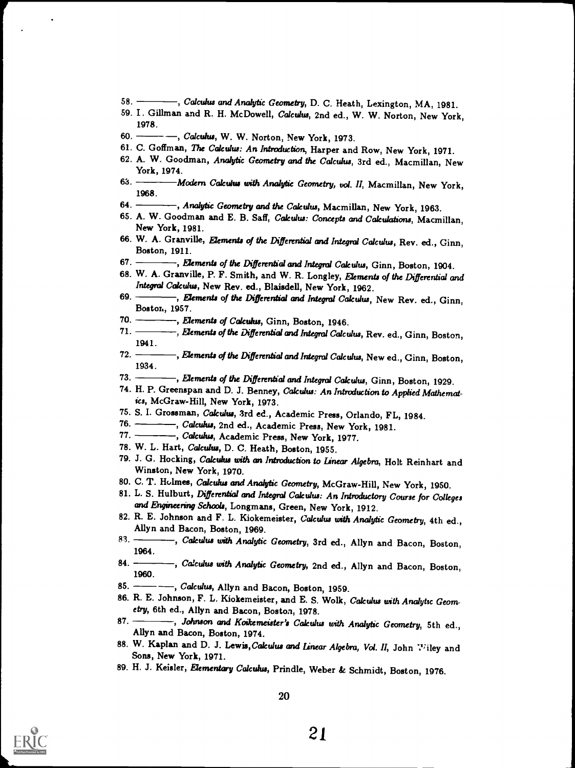- 58. Galculus and Analytic Geometry, D. C. Heath, Lexington, MA, 1981.
- 59. I. Gillman and R. H. McDowell, Calculus, 2nd ed., W. W. Norton, New York, 1978.
- 60. . Calculus, W. W. Norton, New York, 1973.
- 61. C. Goffman, The Calculus: An Introduction, Harper and Row, New York, 1971.
- 62. A. W. Goodman, Analytic Geometry and the Calculus, 3rd ed., Macmillan, New York, 1974.
- 63. Modern Calculus with Analytic Geometry, vol. II, Macmillan, New York, 1968.
- 64. Analytic Geometry and the Calculus, Macmillan, New York, 1963.
- 65. A. W. Goodman and E. B. Saff, Calculus: Concepts and Calculations, Macmillan, New York, 1981.
- 66. W. A. Granville, Elements of the Differential and Integral Calculus, Rev. ed., Ginn, Boston, 1911.
- 67. Flements of the Differential and Integral Calculus, Ginn, Boston, 1904.
- 68. W. A. Granville, P. F. Smith, and W. R. Longley, Elements of the Differential and Integral Calculus, New Rev. ed., Blaisdell, New York, 1962.
- 69. **June 1. Elements of the Differential and Integral Calculus, New Rev. ed., Ginn,** Boston, 1957.
- 70.  $\frac{1}{2}$ , Elements of Calculus, Ginn, Boston, 1946.<br>71.  $\frac{1}{2}$  Elements of the Differential and Integral Color
- $-$ , Elements of the Differential and Integral Calculus, Rev. ed., Ginn, Boston, 1941.
- 72. Elements of the Differential and Integral Calculus, New ed., Ginn, Boston, 1934.
- 73.  $\longrightarrow$ , Elements of the Differential and Integral Calculus, Ginn, Boston, 1929.
- 74. H. P. Greenspan and D. J. Benney, Calculus: An Introduction to Applied Mathematics, McGraw-Hill, New York, 1973.
- 75. S. I. Grossman, Calculus, 3rd ed., Academic Press, Orlando, FL, 1984.<br>76.  **— "Calculus**, 2nd ed., Academic Press, New York, 1981.
- 76. Suite of Calculus, 2nd ed., Academic Press, New York, 1981.
- 77. <del>. . . . . . . .</del>, Calculus, Academic Press, New York, 1977.
- 78. W. L. Hart, Calculus, D. C. Heath, Boston, 1955.
- 79. J. G. Hocking, Calculus with an Introduction to Linear Algebra, Holt Reinhart and Winston, New York, 1970.
- 80. C. T. Holmes, Calculus and Analytic Geometry, McGraw-Hill, New York, 1950.
- 81. L. S. Hulburt, Differential and Integral Calculus: An Introductory Course for Colleges and Engineering Schools, Longmans, Green, New York, 1912.
- 82. R. E. Johnson and F. L. Kiokemeister, Calculus with Analytic Geometry, 4th ed., Allyn and Bacon, Boston, 1969.
- 83. Calculus with Analytic Geometry, 3rd ed., Allyn and Bacon, Boston, 1964.
- 84. Rakculus with Analytic Geometry, 2nd ed., Allyn and Bacon, Boston, 1960.
- 85.  $\frac{1}{1959}$ , Calculus, Allyn and Bacon, Boston, 1959.
- 86. R. E. Johnson, F. L. Kiokemeister, and E. S. Wolk, Calculus with Analytic Geom- etry, 6th ed., Allyn and Bacon, Boston, 1978.
- 87. Johnson and Koikemeister's Calculus with Analytic Geometry, 5th ed., Allyn and Bacon, Boston, 1974.
- 88. W. Kaplan and D. J. Lewis, Cakulus and Linear Algebra, Vol. II, John Wiley and Sons, New York, 1971.
- 89. H. J. Keisler, Elementary Calculus, Prindle, Weber & Schmidt, Boston, 1976.

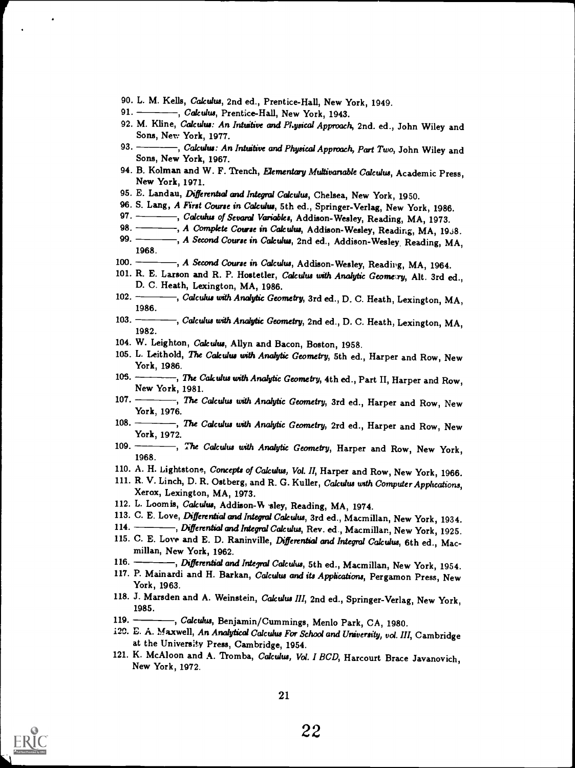- 90. L. M. Kells, Calculus, 2nd ed., Prentice-Hall, New York, 1949.
- 91. -----, Calculus, Prentice-Hall, New York, 1943.
- 92. M. Kline, Calculus: An Intuitive and Physical Approach, 2nd. ed., John Wiley and Sons, Nev: York, 1977.

- 93. -----, Calculus: An Intuitive and Physical Approach, Part Two, John Wiley and Sons, New York, 1967.
- 94. B. Kolman and W. F. Trench, Elementary Multivariable Calculus, Academic Press, New York, 1971.
- 95. E. Landau, Differential and Integral Calculus, Chelsea, New York, 1950.
- 96. S. Lang, A First Course in Calculus, 5th ed., Springer-Verlag, New York, 1986.<br>97. Calculus of Senaral Variables. Addison-Wesley, Reading, MA 1973.
- 97. Calculus of Sevaral Variables, Addison-Wesley, Reading, MA, 1973.<br>98. A Complete Course in Calculus. Addison-Wesley. Reading. MA. 19
- 98.  $\frac{1}{2}$ , A Complete Course in Calculus, Addison-Wesley, Reading, MA, 1958.<br>99.  $\frac{1}{2}$ , A Second Course in Calculus, 2nd ed., Addison Wesley, Reading, MA
- -, A Second Course in Calculus, 2nd ed., Addison-Wesley, Reading, MA, 1968.
- 100. A Second Course in Calculus, Addison-Wesley, Reading, MA, 1964.
- 101. R. E. Larson and R. P. Hostetler, Calculus with Analytic Geometry, Alt. 3rd ed., D. C. Heath, Lexington, MA, 1986.
- 102. Calculus with Analytic Geometry, 3rd ed., D. C. Heath, Lexington, MA, 1986.
- 103. ----, Calculus with Analytic Geometry, 2nd ed., D. C. Heath, Lexington, MA, 1982.
- 104. W. Leighton, Calculus, Allyn and Bacon, Boston, 1958.
- 105. L. Leithold, The Calculus with Analytic Geometry, 5th ed., Harper and Row, New York, 1986.
- 105. The Calculus with Analytic Geometry, 4th ed., Part II, Harper and Row, New York, 1981.
- 107. ------, The Calculus with Analytic Geometry, 3rd ed., Harper and Row, New York, 1976.
- 108. The Calculus with Analytic Geometry, 2rd ed., Harper and Row, New York, 1972.
- 109. ----, The Calculus with Analytic Geometry, Harper and Row, New York, 1968.
- 110. A. H. Lightstone, Concepts of Calculus, Vol. II, Harper and Row, New York, 1966.
- 111. R. V. Linch, D. R. Ostberg, and R. G. Kuller, Calculus with Computer Applications, Xerox, Lexington, MA, 1973.
- 112. L. Loomis, Calculus, Addison-W sley, Reading, MA, 1974.
- 113. C. E. Love, Differential and Integral Calculus, 3rd ed., Macmillan, New York, 1934.<br>114. Rifferential and Integral Calculus, Bey ed., Macmillan, New York, 1995.
- 114. Differential and Integral Calculus, Rev. ed., Macmillan, New York, 1925.
- 115. C. E. Love and E. D. Raninville, Differential and Integral Calculus, 6th ed., Macmillan, New York, 1962.
- 116. Differential and Integral Calculus, 5th ed., Macmillan, New York, 1954.
- 117. P. Mainardi and H. Barkan, Calculus and its Applications, Pergamon Press, New York, 1963.
- 118. J. Marsden and A. Weinstein, Calculus III, 2nd ed., Springer-Verlag, New York, 1985.
- 119. Calculus, Benjamin/Cummings, Menlo Park, CA, 1980.
- i20. D. A. Maxwell, An Analytical Calculus For School and University, vol. III, Cambridge at the University Press, Cambridge, 1954.
- 121. K. McAloon and A. Tromba, Calculus, Vol. I BCD, Harcourt Brace Javanovich, New York, 1972.

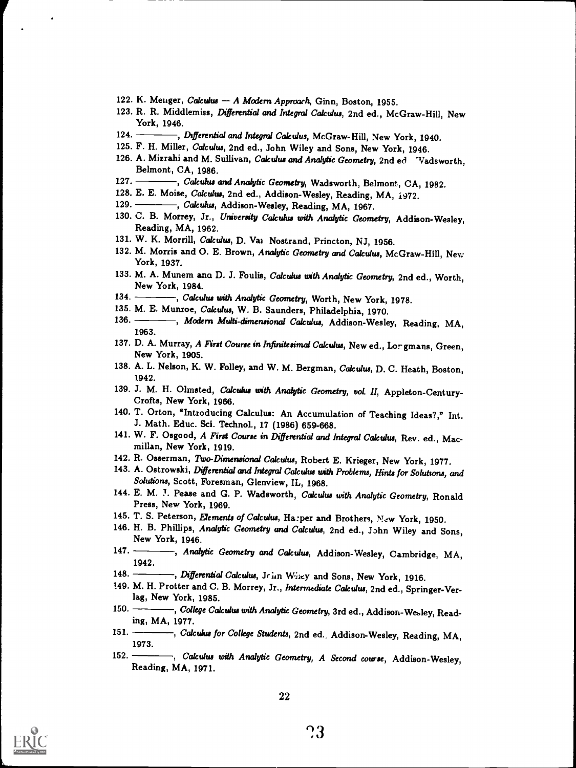- 122. K. Menger, Calculus A Modern Approxch, Ginn, Boston, 1955.
- 123. R. R. Middlemiss, Differential and Integral Calculus, 2nd ed., McGraw-Hill, New York, 1946.
- 124. July 124. , Differential and Integral Calculus, McGraw-Hill, New York, 1940.
- 125. F. H. Miller, Calculus, 2nd ed., John Wiley and Sons, New York, 1946.
- 126. A. Mizrahi and M. Sullivan, Calculus and Analytic Geometry, 2nd ed Vadsworth, Belmont, CA, 1986.<br>127. — Calculus
- -, Calculus and Analytic Geometry, Wadsworth, Belmont, CA, 1982.
- 128. E. E. Moise, *Calculus*, 2nd ed., Addison-Wesley, Reading, MA, 1972.<br>129. Calculus, Addison-Wesley, Reading, MA, 1967.
- -, Calculus, Addison-Wesley, Reading, MA, 1967.
- 130. C. B. Morrey, Jr., University Calculus with Analytic Geometry, Addison-Wesley, Reading, MA, 1962.
- 131. W. K. Morrill, Calculus, D. Val Nostrand, Princton, NJ, 1956.
- 132. M. Morris and O. E. Brown, Analytic Geometry and Calculus, McGraw-Hill, New York, 1937.
- 133. M. A. Munem ana D. J. Foulis, Calculus with Analytic Geometry, 2nd ed., Worth, New York, 1984.
- 134. Calculus with Analytic Geometry, Worth, New York, 1978.
- 135. M. E. Munroe, Calculus, W. B. Saunders, Philadelphia, 1970.<br>136. Modern Multi-dimensional Calculus, Addison-Wesle
- -, Modern Multi-dimensional Calculus, Addison-Wesley, Reading, MA, 1963.
- 137. D. A. Murray, A First Course in Infinitesimal Calculus, New ed., Lor gmans, Green, New York, 1905.
- 138. A. L. Nelson, K. W. Folley, and W. M. Bergman, Calculus, D. C. Heath, Boston, 1942.
- 139. J. M. H. Olmsted, Calculus with Analytic Geometry, vol. II, Appleton-Century-Crofts, New York, 1966.
- 140. T. Orton, "Introducing Calculus: An Accumulation of Teaching Ideas?," Int. J. Math. Educ. Sci. Technol., 17 (1986) 659-668.
- 141. W. F. Osgood, A First Course in Differential and Integral Calculus, Rev. ed., Macmillan, New York, 1919.
- 142. R. Osserman, Two-Dimensional Calculus, Robert E. Krieger, New York, 1977.
- 143. A. Ostrowski, Differential and Integral Calculus with Problems, Hints for Solutions, and Solutions, Scott, Foresman, Glenview, IL, 1968.
- 144. E. M. J. Pease and G. P. Wadsworth, Calculus with Analytic Geometry, Ronald Press, New York, 1969.
- 145. T. S. Peterson, Elements of Calculus, Harper and Brothers, New York, 1950.
- 146. H. B. Phillips, Analytic Geometry and Calculus, 2nd ed., John Wiley and Sons, New York, 1946.
- 147. Analytic Geometry and Calculus, Addison-Wesley, Cambridge, MA, 1942.
- 148. Bifferential Calculus, John Wiley and Sons, New York, 1916.
- 149. M. H. Protter and C. B. Morrey, Jr., Intermediate Calculus, 2nd ed., Springer-Verlag, New York, 1985.
- 150. College Calculus with Analytic Geometry, 3rd ed., Addison-Wesley, Reading, MA, 1977.
- 151. Calculus for College Students, 2nd ed., Addison-Wesley, Reading, MA, 1973.
- 152. , Calculus with Analytic Geometry, A Second course, Addison-Wesley, Reading, MA, 1971.

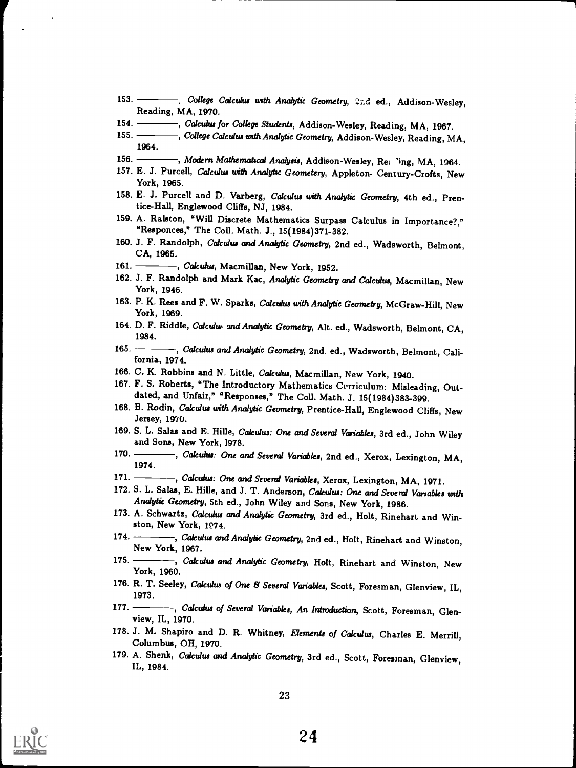- 153. College Calculus with Analytic Geometry, 2nd ed., Addison-Wesley, Reading, MA, 1970.
- 154. Calculus for College Students, Addison-Wesley, Reading, MA, 1967.
- 155. , College Calculus with Analytic Geometry, Addison-Wesley, Reading, MA, 1964.
- 156. Modern Mathematical Analysis, Addison-Wesley, Re: 'ing, MA, 1964.
- 157. E. J. Purcell, Calculus with Analytic Geometery, Appleton- Century-Crofts, New York, 1965.
- 158. E. J. Purcell and D. Varberg, Calculus with Analytic Geometry, 4th ed., Prentice-Hall, Englewood Cliffs, NJ, 1984.
- 159. A. Ralston, "Will Discrete Mathematics Surpass Calculus in Importance?," "Responces," The Coll. Math. J., 15(1984)371-382.
- 160. J. F. Randolph, Calculus and Analytic Geometry, 2nd ed., Wadsworth, Belmont, CA, 1965.
- 161. ------, Calculus, Macmillan, New York, 1952.
- 162. J. F. Randolph and Mark Kac, Analytic Geometry and Calculus, Macmillan, New York, 1946.
- 163. P. K. Rees and F. W. Sparks, Calculus with Analytic Geometry, McGraw-Hill, New York, 1969.
- 164. D. F. Riddle, Calculus and Analytic Geometry, Alt. ed., Wadsworth, Belmont, CA, 1984.
- 165. Calculus and Analytic Geometry, 2nd. ed., Wadsworth, Belmont, California, 1974.
- 166. C. K. Robbins and N. Little, Calculus, Macmillan, New York, 1940.
- 167. F. S. Roberts, "The Introductory Mathematics Crrriculum: Misleading, Out- dated, and Unfair," "Responses," The Coll. Math. J. 15(1984)383-399.
- 168. B. Rodin, Calculus with Analytic Geometry, Prentice-Hall, Englewood Cliffs, New Jersey, 1970.
- 169. S. L. Salas and E. Hille, Calculus: One and Several Variables, 3rd ed., John Wiley and Sons, New York, 1978.
- 170. Calculus: One and Several Variables, 2nd ed., Xerox, Lexington, MA, 1974.
- 171. -----, Calculus: One and Several Variables, Xerox, Lexington, MA, 1971.
- 172. S. L. Salas, E. Hille, and J. T. Anderson, Calculus: One and Several Variables with Analytic Geometry, 5th ed., John Wiley and Sons, New York, 1986.
- 173. A. Schwartz, Calculus and Analytic Geometry, 3rd ed., Holt, Rinehart and Winston, New York, 1974.
- 174. Calculus and Analytic Geometry, 2nd ed., Holt, Rinehart and Winston, New York, 1967.
- 175. -----, Calculus and Analytic Geometry, Holt, Rinehart and Winston, New York, 1960.
- 176. R. T. Seeley, Calculus of One & Several Variables, Scott, Foresman, Glenview, IL, 1973.
- 177. Calculus of Several Variables, An Introduction, Scott, Foresman, Glen-<br>view, IL, 1970.
- 178. J. M. Shapiro and D. R. Whitney, Elements of Calculus, Charles E. Merrill, Columbus, OH, 1970.
- 179. A. Shenk, Calculus and Analytic Geometry, 3rd ed., Scott, Foresman, Glenview, IL, 1984.

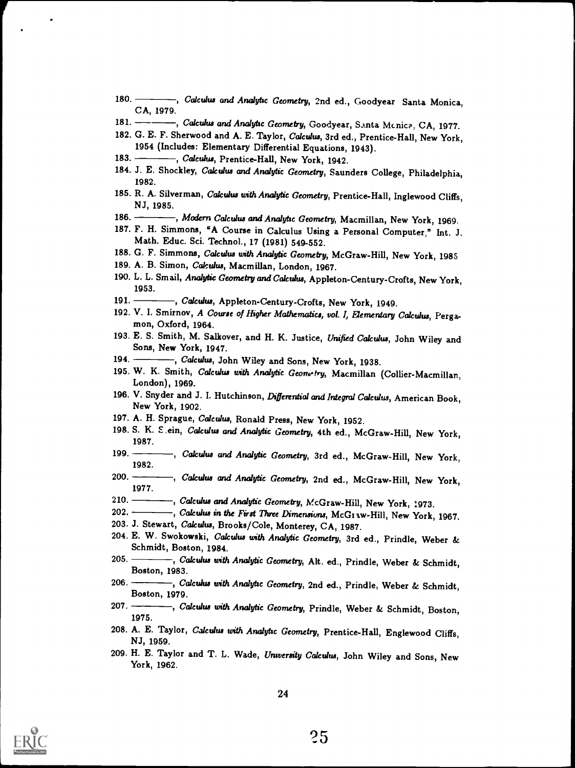- 180. Calculus and Analytic Geometry, 2nd ed., Goodyear Santa Monica, CA, 1979.
- 181. Calculus and Analytic Geometry, Goodyear, Santa Mcnice, CA, 1977.
- 182. G. E. F. Sherwood and A. E. Taylor, Calculus, 3rd ed., Prentice-Hall, New York, 1954 (Includes: Elementary Differential Equations, 1943).
- 183. Calculus, Prentice-Hall, New York, 1942.
- 184. J. E. Shockley, Calculus and Analytic Geometry, Saunders College, Philadelphia, 1982.
- 185. R. A. Silverman, Calculus with Analytic Geometry, Prentice-Hall, Inglewood Cliffs, NJ, 1985.
- 186. Modern Calculus and Analytic Geometry, Macmillan, New York, 1969.
- 187. F. H. Simmons, "A Course in Calculus Using a Personal Computer," Int. J. Math. Educ. Sci. Technol., 17 (1981) 549-552.
- 188. G. F. Simmons, Calculus with Analytic Geometry, McGraw-Hill, New York, 1985
- 189. A. B. Simon, Calculus, Macmillan, London, 1967.
- 190. L. L. Smail, Analytic Geometry and Calculus, Appleton-Century-Crofts, New York, 1953.
- 191. Calculus, Appleton-Century-Crofts, New York, 1949.
- 192. V. I. Smirnov, A Course of Higher Mathematics, vol. I, Elementary Calculus, Perga- mon, Oxford, 1964.
- 193. E. S. Smith, M. Salkover, and H. K. Justice, Unified Calculus, John Wiley and Sons, New York, 1947.
- 194. Calculus, John Wiley and Sons, New York, 1938.
- 195. W. K. Smith, Calculus with Analytic Geonwity, Macmillan (Collier-Macmillan, London), 1969.
- 196. V. Snyder and J. I. Hutchinson, Differential and Integral Calculus, American Book, New York, 1902.
- 197. A. H. Sprague, Calculus, Ronald Press, New York, 1952.
- 198. S. K. E.ein, Calculus and Analytic Geometry, 4th ed., McGraw-Hill, New York, 1987.
- 199. *Calculus and Analytic Geometry*, 3rd ed., McGraw-Hill, New York, 1982.
- 200. Calculus and Analytic Geometry, 2nd ed., McGraw-Hill, New York, 1977.
- 210.  $\frac{1}{2}$ , Calculus and Analytic Geometry, McGraw-Hill, New York, 1973.<br>202.  $\frac{1}{2}$ , Calculus in the First Three Dimensions McGraw Hill, New York.
- $-$ , Calculus in the First Three Dimensions, McGraw-Hill, New York, 1967.
- 203. J. Stewart, Calculus, Brooks/Cole, Monterey, CA, 1987.
- 204. E. W. Swokowski, Calculus with Analytic Geometry, 3rd ed., Prindle, Weber & Schmidt, Boston, 1984.
- 205. Calculus with Analytic Geometry, Alt. ed., Prindle, Weber & Schmidt, Boston, 1983.
- 206. Calculus with Analytic Geometry, 2nd ed., Prindle, Weber & Schmidt, Boston, 1979.
- 207. Calculus with Analytic Geometry, Prindle, Weber & Schmidt, Boston, 1975.
- 208. A. E. Taylor, Calculus with Analytic Geometry, Prentice-Hall, Englewood Cliffs, NJ, 1959.
- 209. H. E. Taylor and T. L. Wade, University Calculus, John Wiley and Sons, New York, 1962.